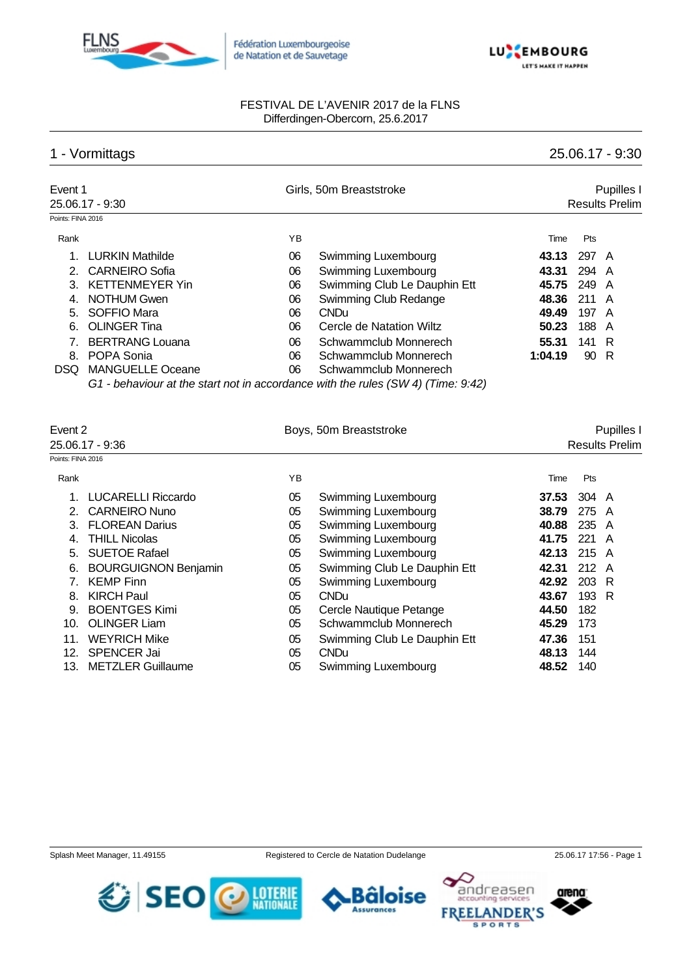



## 1 - Vormittags 25.06.17 - 9:30

| Event 1           |                         |    | Girls, 50m Breaststroke                                                          |         |       | Pupilles I            |
|-------------------|-------------------------|----|----------------------------------------------------------------------------------|---------|-------|-----------------------|
|                   | 25.06.17 - 9:30         |    |                                                                                  |         |       | <b>Results Prelim</b> |
| Points: FINA 2016 |                         |    |                                                                                  |         |       |                       |
| Rank              |                         | ΥB |                                                                                  | Time    | Pts   |                       |
|                   | <b>LURKIN Mathilde</b>  | 06 | Swimming Luxembourg                                                              | 43.13   | 297 A |                       |
|                   | 2. CARNEIRO Sofia       | 06 | Swimming Luxembourg                                                              | 43.31   | 294 A |                       |
| 3                 | <b>KETTENMEYER Yin</b>  | 06 | Swimming Club Le Dauphin Ett                                                     | 45.75   | 249 A |                       |
| 4.                | NOTHUM Gwen             | 06 | Swimming Club Redange                                                            | 48.36   | 211 A |                       |
|                   | 5. SOFFIO Mara          | 06 | <b>CNDu</b>                                                                      | 49.49   | 197 A |                       |
| 6.                | <b>OLINGER Tina</b>     | 06 | Cercle de Natation Wiltz                                                         | 50.23   | 188 A |                       |
|                   | <b>BERTRANG Louana</b>  | 06 | Schwammclub Monnerech                                                            | 55.31   | 141 R |                       |
| 8.                | POPA Sonia              | 06 | Schwammclub Monnerech                                                            | 1:04.19 | 90 R  |                       |
| DSQ.              | <b>MANGUELLE Oceane</b> | 06 | Schwammclub Monnerech                                                            |         |       |                       |
|                   |                         |    | G1 - behaviour at the start not in accordance with the rules (SW 4) (Time: 9:42) |         |       |                       |

| Event 2           |                             |    | Boys, 50m Breaststroke       | Pupilles I |                 |                       |  |
|-------------------|-----------------------------|----|------------------------------|------------|-----------------|-----------------------|--|
|                   | 25.06.17 - 9:36             |    |                              |            |                 | <b>Results Prelim</b> |  |
| Points: FINA 2016 |                             |    |                              |            |                 |                       |  |
| Rank              |                             | YB |                              | Time       | Pts             |                       |  |
|                   | <b>LUCARELLI Riccardo</b>   | 05 | Swimming Luxembourg          | 37.53      | 304 A           |                       |  |
| 2.                | <b>CARNEIRO Nuno</b>        | 05 | Swimming Luxembourg          | 38.79      | 275             | A                     |  |
| 3.                | <b>FLOREAN Darius</b>       | 05 | Swimming Luxembourg          | 40.88      | 235             | A                     |  |
| 4.                | <b>THILL Nicolas</b>        | 05 | Swimming Luxembourg          | 41.75      | 221             | A                     |  |
| 5.                | <b>SUETOE Rafael</b>        | 05 | Swimming Luxembourg          | 42.13      | $215 \text{ A}$ |                       |  |
| 6.                | <b>BOURGUIGNON Benjamin</b> | 05 | Swimming Club Le Dauphin Ett | 42.31      | 212 A           |                       |  |
|                   | <b>KEMP Finn</b>            | 05 | Swimming Luxembourg          | 42.92      | 203 R           |                       |  |
| 8.                | <b>KIRCH Paul</b>           | 05 | CNDu                         | 43.67      | 193 R           |                       |  |
| 9.                | <b>BOENTGES Kimi</b>        | 05 | Cercle Nautique Petange      | 44.50      | 182             |                       |  |
| 10.               | <b>OLINGER Liam</b>         | 05 | Schwammclub Monnerech        | 45.29      | 173             |                       |  |
| 11.               | <b>WEYRICH Mike</b>         | 05 | Swimming Club Le Dauphin Ett | 47.36      | 151             |                       |  |
| 12.               | <b>SPENCER Jai</b>          | 05 | <b>CNDu</b>                  | 48.13      | 144             |                       |  |
| 13.               | <b>METZLER Guillaume</b>    | 05 | Swimming Luxembourg          | 48.52      | 140             |                       |  |

Bäloise **Assurances** 



arena

ndreasen

**SPORTS** 

**FREEI** 

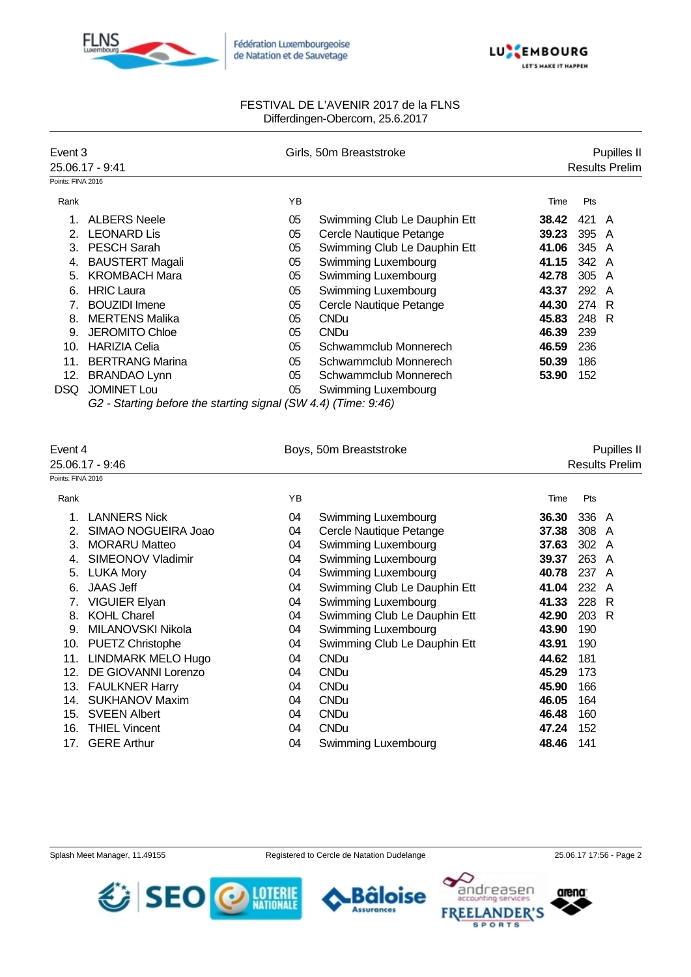



| Event 3           |                                                                |    | Girls, 50m Breaststroke      |       |       | Pupilles II           |
|-------------------|----------------------------------------------------------------|----|------------------------------|-------|-------|-----------------------|
|                   | 25.06.17 - 9:41                                                |    |                              |       |       | <b>Results Prelim</b> |
| Points: FINA 2016 |                                                                |    |                              |       |       |                       |
| Rank              |                                                                | YB |                              | Time  | Pts   |                       |
|                   | <b>ALBERS Neele</b>                                            | 05 | Swimming Club Le Dauphin Ett | 38.42 | 421   | A                     |
| 2.                | <b>LEONARD Lis</b>                                             | 05 | Cercle Nautique Petange      | 39.23 | 395   | A                     |
| 3.                | <b>PESCH Sarah</b>                                             | 05 | Swimming Club Le Dauphin Ett | 41.06 | 345   | A                     |
| 4.                | <b>BAUSTERT Magali</b>                                         | 05 | Swimming Luxembourg          | 41.15 | 342   | A                     |
| 5.                | <b>KROMBACH Mara</b>                                           | 05 | Swimming Luxembourg          | 42.78 | 305 A |                       |
| 6.                | <b>HRIC Laura</b>                                              | 05 | Swimming Luxembourg          | 43.37 | 292 A |                       |
| 7                 | <b>BOUZIDI</b> Imene                                           | 05 | Cercle Nautique Petange      | 44.30 | 274 R |                       |
| 8.                | <b>MERTENS Malika</b>                                          | 05 | <b>CNDu</b>                  | 45.83 | 248   | -R                    |
| 9.                | <b>JEROMITO Chloe</b>                                          | 05 | <b>CNDu</b>                  | 46.39 | 239   |                       |
| 10.               | <b>HARIZIA Celia</b>                                           | 05 | Schwammclub Monnerech        | 46.59 | 236   |                       |
| 11.               | <b>BERTRANG Marina</b>                                         | 05 | Schwammclub Monnerech        | 50.39 | 186   |                       |
| 12.               | <b>BRANDAO Lynn</b>                                            | 05 | Schwammclub Monnerech        | 53.90 | 152   |                       |
| DSQ.              | <b>JOMINET Lou</b>                                             | 05 | Swimming Luxembourg          |       |       |                       |
|                   | G2 - Starting before the starting signal (SW 4.4) (Time: 9:46) |    |                              |       |       |                       |

|                   | Event 4                   |    | Boys, 50m Breaststroke       | Pupilles II |                       |   |  |
|-------------------|---------------------------|----|------------------------------|-------------|-----------------------|---|--|
|                   | 25.06.17 - 9:46           |    |                              |             | <b>Results Prelim</b> |   |  |
| Points: FINA 2016 |                           |    |                              |             |                       |   |  |
| Rank              |                           | YB |                              | Time        | Pts                   |   |  |
|                   | <b>LANNERS Nick</b>       | 04 | Swimming Luxembourg          | 36.30       | 336 A                 |   |  |
|                   | SIMAO NOGUEIRA Joao       | 04 | Cercle Nautique Petange      | 37.38       | 308 A                 |   |  |
| 3.                | <b>MORARU Matteo</b>      | 04 | Swimming Luxembourg          | 37.63       | 302 A                 |   |  |
| 4.                | SIMEONOV Vladimir         | 04 | Swimming Luxembourg          | 39.37       | 263 A                 |   |  |
| 5.                | <b>LUKA Mory</b>          | 04 | Swimming Luxembourg          | 40.78       | 237 A                 |   |  |
| 6.                | <b>JAAS Jeff</b>          | 04 | Swimming Club Le Dauphin Ett | 41.04       | 232                   | A |  |
|                   | <b>VIGUIER Elyan</b>      | 04 | Swimming Luxembourg          | 41.33       | 228 R                 |   |  |
| 8.                | <b>KOHL Charel</b>        | 04 | Swimming Club Le Dauphin Ett | 42.90       | 203 R                 |   |  |
| 9.                | MILANOVSKI Nikola         | 04 | Swimming Luxembourg          | 43.90       | 190                   |   |  |
| 10.               | PUETZ Christophe          | 04 | Swimming Club Le Dauphin Ett | 43.91       | 190                   |   |  |
| 11.               | <b>LINDMARK MELO Hugo</b> | 04 | <b>CNDu</b>                  | 44.62       | 181                   |   |  |
| 12.               | DE GIOVANNI Lorenzo       | 04 | <b>CNDu</b>                  | 45.29       | 173                   |   |  |
| 13.               | <b>FAULKNER Harry</b>     | 04 | <b>CNDu</b>                  | 45.90       | 166                   |   |  |
| 14.               | <b>SUKHANOV Maxim</b>     | 04 | <b>CNDu</b>                  | 46.05       | 164                   |   |  |
| 15.               | <b>SVEEN Albert</b>       | 04 | <b>CNDu</b>                  | 46.48       | 160                   |   |  |
| 16.               | <b>THIEL Vincent</b>      | 04 | <b>CNDu</b>                  | 47.24       | 152                   |   |  |
| 17.               | <b>GERE Arthur</b>        | 04 | Swimming Luxembourg          | 48.46       | 141                   |   |  |
|                   |                           |    |                              |             |                       |   |  |

Splash Meet Manager, 11.49155 Registered to Cercle de Natation Dudelange 25.06.17 17:56 - Page 2

**Bäloise Assurances** 

arena

andreasen

**SPORTS** 

**FREEI** 

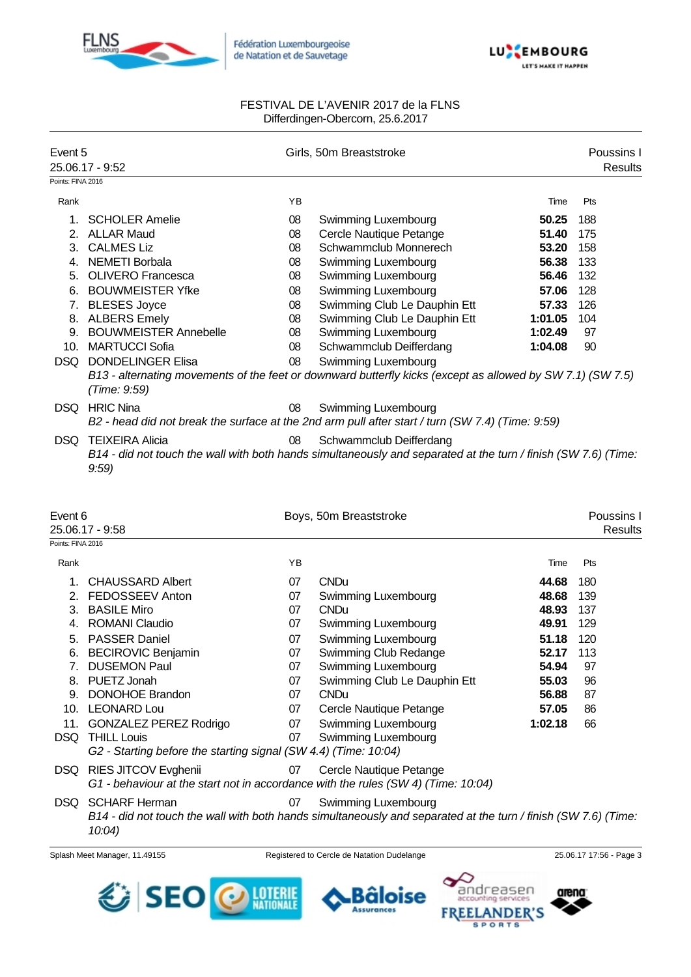



| Event 5           |                              |    | Girls, 50m Breaststroke                                                                                        |         | Poussins I            |
|-------------------|------------------------------|----|----------------------------------------------------------------------------------------------------------------|---------|-----------------------|
|                   | 25.06.17 - 9:52              |    |                                                                                                                |         | <b>Results</b>        |
| Points: FINA 2016 |                              |    |                                                                                                                |         |                       |
| Rank              |                              | YB |                                                                                                                | Time    | Pts                   |
| $1_{-}$           | <b>SCHOLER Amelie</b>        | 08 | <b>Swimming Luxembourg</b>                                                                                     | 50.25   | 188                   |
| 2.                | <b>ALLAR Maud</b>            | 08 | Cercle Nautique Petange                                                                                        | 51.40   | 175                   |
| 3.                | <b>CALMES Liz</b>            | 08 | Schwammclub Monnerech                                                                                          | 53.20   | 158                   |
| 4.                | NEMETI Borbala               | 08 | Swimming Luxembourg                                                                                            | 56.38   | 133                   |
| 5.                | <b>OLIVERO Francesca</b>     | 08 | Swimming Luxembourg                                                                                            | 56.46   | 132                   |
| 6.                | <b>BOUWMEISTER Yfke</b>      | 08 | Swimming Luxembourg                                                                                            | 57.06   | 128                   |
| 7.                | <b>BLESES Joyce</b>          | 08 | Swimming Club Le Dauphin Ett                                                                                   | 57.33   | 126                   |
| 8.                | <b>ALBERS Emely</b>          | 08 | Swimming Club Le Dauphin Ett                                                                                   | 1:01.05 | 104                   |
| 9.                | <b>BOUWMEISTER Annebelle</b> | 08 | Swimming Luxembourg                                                                                            | 1:02.49 | 97                    |
| 10.               | <b>MARTUCCI Sofia</b>        | 08 | Schwammclub Deifferdang                                                                                        | 1:04.08 | 90                    |
| <b>DSQ</b>        | <b>DONDELINGER Elisa</b>     | 08 | Swimming Luxembourg                                                                                            |         |                       |
|                   | (Time: 9:59)                 |    | B13 - alternating movements of the feet or downward butterfly kicks (except as allowed by SW 7.1) (SW 7.5)     |         |                       |
| DSQ.              | <b>HRIC Nina</b>             | 08 | <b>Swimming Luxembourg</b>                                                                                     |         |                       |
|                   |                              |    | B2 - head did not break the surface at the 2nd arm pull after start / turn (SW 7.4) (Time: 9:59)               |         |                       |
| DSQ.              | <b>TEIXEIRA Alicia</b>       | 08 | Schwammclub Deifferdang                                                                                        |         |                       |
|                   | 9:59                         |    | B14 - did not touch the wall with both hands simultaneously and separated at the turn / finish (SW 7.6) (Time: |         |                       |
|                   |                              |    |                                                                                                                |         |                       |
| Event 6           | 25 06 17 - 0.58              |    | Boys, 50m Breaststroke                                                                                         |         | Poussins I<br>Raculte |

|                                | 25.06.17 - 9:58                                                                   |    |                                                                                                                |         |     | Results |
|--------------------------------|-----------------------------------------------------------------------------------|----|----------------------------------------------------------------------------------------------------------------|---------|-----|---------|
| Points: FINA 2016              |                                                                                   |    |                                                                                                                |         |     |         |
| Rank                           |                                                                                   | YB |                                                                                                                | Time    | Pts |         |
|                                | <b>CHAUSSARD Albert</b>                                                           | 07 | <b>CNDu</b>                                                                                                    | 44.68   | 180 |         |
| 2.                             | FEDOSSEEV Anton                                                                   | 07 | Swimming Luxembourg                                                                                            | 48.68   | 139 |         |
| 3.                             | <b>BASILE Miro</b>                                                                | 07 | <b>CNDu</b>                                                                                                    | 48.93   | 137 |         |
| 4.                             | <b>ROMANI Claudio</b>                                                             | 07 | Swimming Luxembourg                                                                                            | 49.91   | 129 |         |
| 5.                             | <b>PASSER Daniel</b>                                                              | 07 | Swimming Luxembourg                                                                                            | 51.18   | 120 |         |
| 6.                             | <b>BECIROVIC Benjamin</b>                                                         | 07 | Swimming Club Redange                                                                                          | 52.17   | 113 |         |
| $7_{\scriptscriptstyle{\sim}}$ | <b>DUSEMON Paul</b>                                                               | 07 | Swimming Luxembourg                                                                                            | 54.94   | 97  |         |
| 8.                             | PUETZ Jonah                                                                       | 07 | Swimming Club Le Dauphin Ett                                                                                   | 55.03   | 96  |         |
| 9.                             | <b>DONOHOE Brandon</b>                                                            | 07 | <b>CNDu</b>                                                                                                    | 56.88   | 87  |         |
| 10.                            | <b>LEONARD Lou</b>                                                                | 07 | Cercle Nautique Petange                                                                                        | 57.05   | 86  |         |
|                                | 11. GONZALEZ PEREZ Rodrigo                                                        | 07 | Swimming Luxembourg                                                                                            | 1:02.18 | 66  |         |
| DSQ                            | <b>THILL Louis</b>                                                                | 07 | Swimming Luxembourg                                                                                            |         |     |         |
|                                | G2 - Starting before the starting signal (SW 4.4) (Time: 10:04)                   |    |                                                                                                                |         |     |         |
| DSQ                            | RIES JITCOV Evghenii                                                              | 07 | Cercle Nautique Petange                                                                                        |         |     |         |
|                                | G1 - behaviour at the start not in accordance with the rules (SW 4) (Time: 10:04) |    |                                                                                                                |         |     |         |
| DSQ.                           | <b>SCHARF Herman</b>                                                              | 07 | Swimming Luxembourg                                                                                            |         |     |         |
|                                |                                                                                   |    | B14 - did not touch the wall with both hands simultaneously and separated at the turn / finish (SW 7.6) (Time: |         |     |         |
|                                | $10:04$ )                                                                         |    |                                                                                                                |         |     |         |
|                                |                                                                                   |    |                                                                                                                |         |     |         |

Splash Meet Manager, 11.49155 **Registered to Cercle de Natation Dudelange** 25.06.17 17:56 - Page 3



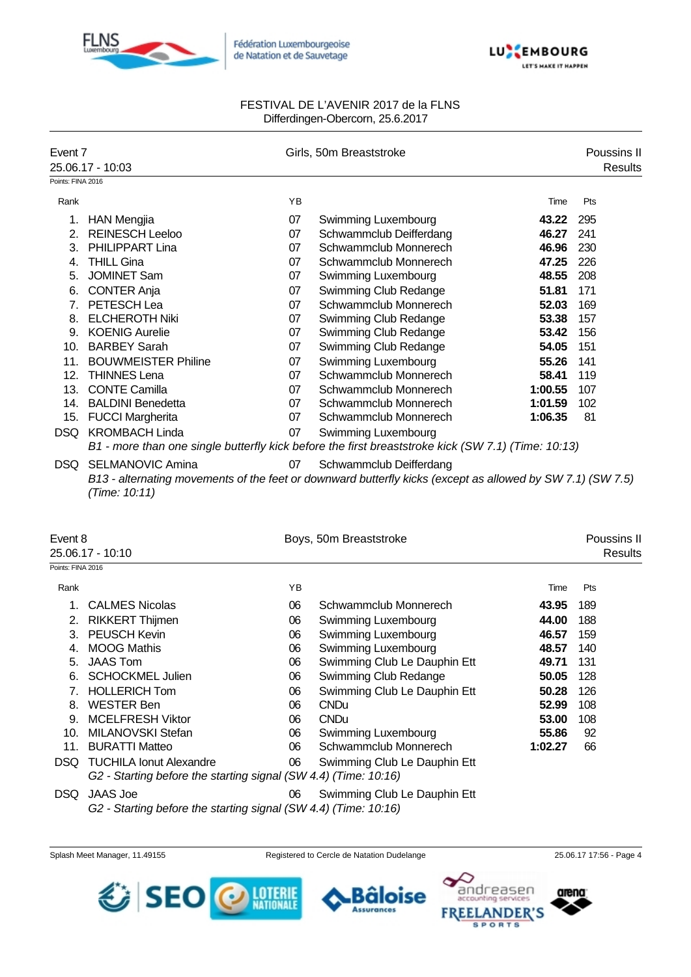



| Event 7           |                            |    | Girls, 50m Breaststroke                                                                                    |         | Poussins II    |
|-------------------|----------------------------|----|------------------------------------------------------------------------------------------------------------|---------|----------------|
|                   | 25.06.17 - 10:03           |    |                                                                                                            |         | <b>Results</b> |
| Points: FINA 2016 |                            |    |                                                                                                            |         |                |
| Rank              |                            | YB |                                                                                                            | Time    | Pts            |
| 1.                | <b>HAN Mengjia</b>         | 07 | <b>Swimming Luxembourg</b>                                                                                 | 43.22   | 295            |
| 2.                | <b>REINESCH Leeloo</b>     | 07 | Schwammclub Deifferdang                                                                                    | 46.27   | 241            |
| 3.                | <b>PHILIPPART Lina</b>     | 07 | Schwammclub Monnerech                                                                                      | 46.96   | 230            |
| 4.                | <b>THILL Gina</b>          | 07 | Schwammclub Monnerech                                                                                      | 47.25   | 226            |
| 5.                | <b>JOMINET Sam</b>         | 07 | Swimming Luxembourg                                                                                        | 48.55   | 208            |
| 6.                | <b>CONTER Anja</b>         | 07 | Swimming Club Redange                                                                                      | 51.81   | 171            |
| 7.                | PETESCH Lea                | 07 | Schwammclub Monnerech                                                                                      | 52.03   | 169            |
| 8.                | <b>ELCHEROTH Niki</b>      | 07 | Swimming Club Redange                                                                                      | 53.38   | 157            |
| 9.                | <b>KOENIG Aurelie</b>      | 07 | Swimming Club Redange                                                                                      | 53.42   | 156            |
| 10.               | <b>BARBEY Sarah</b>        | 07 | Swimming Club Redange                                                                                      | 54.05   | 151            |
| 11.               | <b>BOUWMEISTER Philine</b> | 07 | Swimming Luxembourg                                                                                        | 55.26   | 141            |
| 12.               | <b>THINNES Lena</b>        | 07 | Schwammclub Monnerech                                                                                      | 58.41   | 119            |
| 13.               | <b>CONTE Camilla</b>       | 07 | Schwammclub Monnerech                                                                                      | 1:00.55 | 107            |
| 14.               | <b>BALDINI Benedetta</b>   | 07 | Schwammclub Monnerech                                                                                      | 1:01.59 | 102            |
| 15.               | <b>FUCCI Margherita</b>    | 07 | Schwammclub Monnerech                                                                                      | 1:06.35 | 81             |
| DSQ               | <b>KROMBACH Linda</b>      | 07 | <b>Swimming Luxembourg</b>                                                                                 |         |                |
|                   |                            |    | B1 - more than one single butterfly kick before the first breaststroke kick (SW 7.1) (Time: 10:13)         |         |                |
| DSQ.              | <b>SELMANOVIC Amina</b>    | 07 | Schwammclub Deifferdang                                                                                    |         |                |
|                   | (Time: 10:11)              |    | B13 - alternating movements of the feet or downward butterfly kicks (except as allowed by SW 7.1) (SW 7.5) |         |                |
|                   |                            |    |                                                                                                            |         |                |

| Event 8           | 25.06.17 - 10:10                                                                                  |    | Boys, 50m Breaststroke       |         | Poussins II<br>Results |
|-------------------|---------------------------------------------------------------------------------------------------|----|------------------------------|---------|------------------------|
| Points: FINA 2016 |                                                                                                   |    |                              |         |                        |
| Rank              |                                                                                                   | YB |                              | Time    | Pts                    |
|                   | <b>CALMES Nicolas</b>                                                                             | 06 | Schwammclub Monnerech        | 43.95   | 189                    |
| 2.                | <b>RIKKERT Thijmen</b>                                                                            | 06 | Swimming Luxembourg          | 44.00   | 188                    |
| 3.                | <b>PEUSCH Kevin</b>                                                                               | 06 | Swimming Luxembourg          | 46.57   | 159                    |
| 4.                | <b>MOOG Mathis</b>                                                                                | 06 | Swimming Luxembourg          | 48.57   | 140                    |
| 5.                | <b>JAAS Tom</b>                                                                                   | 06 | Swimming Club Le Dauphin Ett | 49.71   | 131                    |
| 6.                | <b>SCHOCKMEL Julien</b>                                                                           | 06 | Swimming Club Redange        | 50.05   | 128                    |
|                   | <b>HOLLERICH Tom</b>                                                                              | 06 | Swimming Club Le Dauphin Ett | 50.28   | 126                    |
| 8.                | <b>WESTER Ben</b>                                                                                 | 06 | <b>CNDu</b>                  | 52.99   | 108                    |
| 9.                | <b>MCELFRESH Viktor</b>                                                                           | 06 | <b>CNDu</b>                  | 53.00   | 108                    |
| 10.               | MILANOVSKI Stefan                                                                                 | 06 | Swimming Luxembourg          | 55.86   | 92                     |
| 11.               | <b>BURATTI Matteo</b>                                                                             | 06 | Schwammclub Monnerech        | 1:02.27 | 66                     |
| DSQ.              | <b>TUCHILA Ionut Alexandre</b><br>G2 - Starting before the starting signal (SW 4.4) (Time: 10:16) | 06 | Swimming Club Le Dauphin Ett |         |                        |
| DSQ.              | JAAS Joe                                                                                          | 06 | Swimming Club Le Dauphin Ett |         |                        |

*G2 - Starting before the starting signal (SW 4.4) (Time: 10:16)*





**SPORTS** 

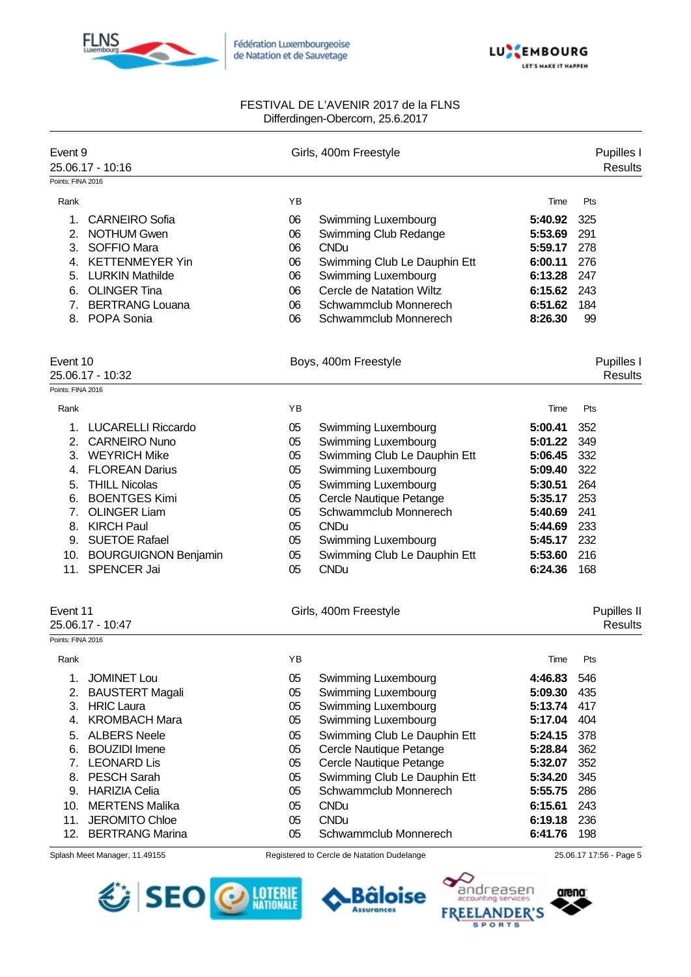



| Event 9           | 25.06.17 - 10:16                                  |          | Girls, 400m Freestyle                      |                    | Pupilles I<br><b>Results</b> |
|-------------------|---------------------------------------------------|----------|--------------------------------------------|--------------------|------------------------------|
| Points: FINA 2016 |                                                   |          |                                            |                    |                              |
| Rank              |                                                   | ΥB       |                                            | Time               | Pts                          |
| 1.                | <b>CARNEIRO Sofia</b>                             | 06       | Swimming Luxembourg                        | 5:40.92            | 325                          |
| 2.                | <b>NOTHUM Gwen</b>                                | 06       | Swimming Club Redange                      | 5:53.69            | 291                          |
| 3.                | <b>SOFFIO Mara</b>                                | 06       | <b>CNDu</b>                                | 5:59.17            | 278                          |
|                   | 4. KETTENMEYER Yin                                | 06       | Swimming Club Le Dauphin Ett               | 6:00.11            | 276                          |
| 5.                | <b>LURKIN Mathilde</b>                            | 06       | Swimming Luxembourg                        | 6:13.28            | 247                          |
| 6.                | <b>OLINGER Tina</b>                               | 06       | Cercle de Natation Wiltz                   | 6:15.62            | 243                          |
| 7.                | <b>BERTRANG Louana</b>                            | 06       | Schwammclub Monnerech                      | 6:51.62            | 184                          |
| 8.                | POPA Sonia                                        | 06       | Schwammclub Monnerech                      | 8:26.30            | 99                           |
| Event 10          |                                                   |          | Boys, 400m Freestyle                       |                    | Pupilles I                   |
| Points: FINA 2016 | 25.06.17 - 10:32                                  |          |                                            |                    | <b>Results</b>               |
| Rank              |                                                   | YB       |                                            | Time               | Pts                          |
|                   |                                                   |          |                                            |                    |                              |
| 1.<br>2.          | <b>LUCARELLI Riccardo</b><br><b>CARNEIRO Nuno</b> | 05<br>05 | Swimming Luxembourg<br>Swimming Luxembourg | 5:00.41<br>5:01.22 | 352<br>349                   |
| 3.                | <b>WEYRICH Mike</b>                               | 05       | Swimming Club Le Dauphin Ett               | 5:06.45            | 332                          |
| 4.                | <b>FLOREAN Darius</b>                             | 05       | Swimming Luxembourg                        | 5:09.40            | 322                          |
| 5.                | <b>THILL Nicolas</b>                              | 05       | Swimming Luxembourg                        | 5:30.51            | 264                          |
| 6.                | <b>BOENTGES Kimi</b>                              | 05       | Cercle Nautique Petange                    | 5:35.17            | 253                          |
| 7 <sub>1</sub>    | <b>OLINGER Liam</b>                               | 05       | Schwammclub Monnerech                      | 5:40.69            | 241                          |
|                   | 8. KIRCH Paul                                     | 05       | <b>CNDu</b>                                | 5:44.69            | 233                          |
|                   | 9. SUETOE Rafael                                  | 05       | Swimming Luxembourg                        | 5:45.17            | 232                          |
|                   | 10. BOURGUIGNON Benjamin                          | 05       | Swimming Club Le Dauphin Ett               | 5:53.60            | 216                          |
| 11.               | <b>SPENCER Jai</b>                                | 05       | <b>CNDu</b>                                | 6:24.36            | 168                          |
| Event 11          |                                                   |          | Girls, 400m Freestyle                      |                    | Pupilles II                  |
|                   | 25.06.17 - 10:47                                  |          |                                            |                    | <b>Results</b>               |
| Points: FINA 2016 |                                                   |          |                                            |                    |                              |
| Rank              |                                                   | YB       |                                            | Time               | Pts                          |
| 1.                | <b>JOMINET Lou</b>                                | 05       | Swimming Luxembourg                        | 4:46.83            | 546                          |
| 2.                | <b>BAUSTERT Magali</b>                            | 05       | Swimming Luxembourg                        | 5:09.30            | 435                          |
| 3.                | <b>HRIC Laura</b>                                 | 05       | Swimming Luxembourg                        | 5:13.74            | 417                          |
| 4.                | <b>KROMBACH Mara</b>                              | 05       | Swimming Luxembourg                        | 5:17.04            | 404                          |
| 5.                | <b>ALBERS Neele</b>                               | 05       | Swimming Club Le Dauphin Ett               | 5:24.15            | 378                          |
| 6.                | <b>BOUZIDI</b> Imene                              | 05       | Cercle Nautique Petange                    | 5:28.84            | 362                          |
|                   | 7. LEONARD Lis                                    | 05       | Cercle Nautique Petange                    | 5:32.07            | 352                          |
|                   | 8. PESCH Sarah                                    | 05       | Swimming Club Le Dauphin Ett               | 5:34.20            | 345                          |
|                   | 9. HARIZIA Celia                                  | 05       | Schwammclub Monnerech                      | 5:55.75            | 286                          |
|                   | 10. MERTENS Malika                                | 05       | <b>CNDu</b>                                | 6:15.61            | 243                          |
| 11.               | <b>JEROMITO Chloe</b>                             | 05       | <b>CNDu</b>                                | 6:19.18            | 236                          |
| 12.               | <b>BERTRANG Marina</b>                            | 05       | Schwammclub Monnerech                      | 6:41.76            | 198                          |
|                   | Splash Meet Manager, 11.49155                     |          | Registered to Cercle de Natation Dudelange |                    | 25.06.17 17:56 - Page 5      |



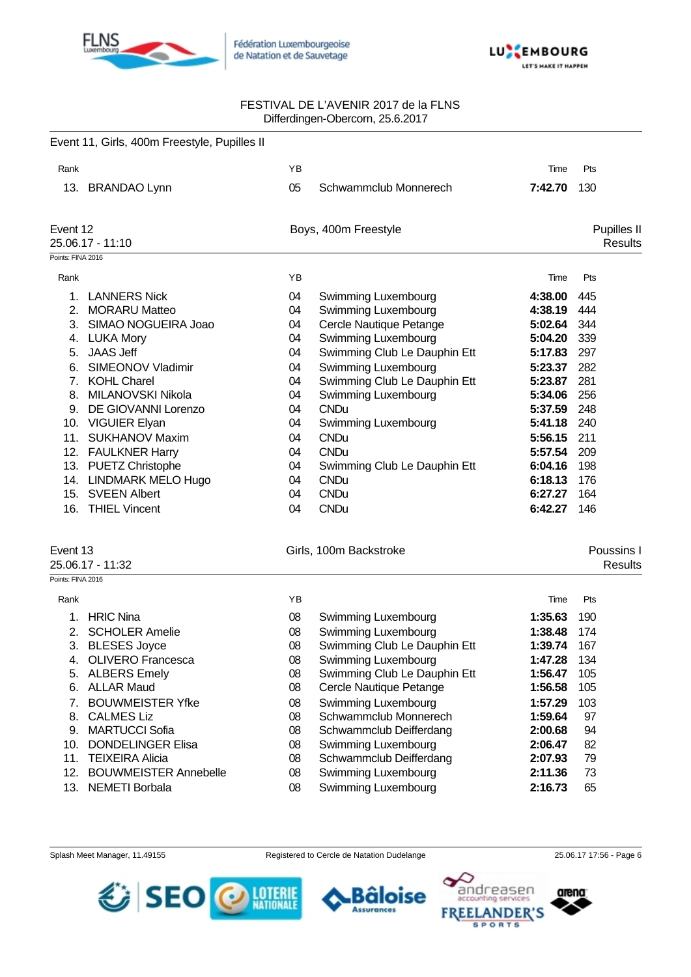



|                   | Event 11, Girls, 400m Freestyle, Pupilles II |          |                                                     |                    |                                      |
|-------------------|----------------------------------------------|----------|-----------------------------------------------------|--------------------|--------------------------------------|
| Rank              |                                              | YB       |                                                     | Time               | Pts                                  |
|                   | 13. BRANDAO Lynn                             | 05       | Schwammclub Monnerech                               | 7:42.70            | 130                                  |
| Event 12          | 25.06.17 - 11:10                             |          | Boys, 400m Freestyle                                |                    | <b>Pupilles II</b><br><b>Results</b> |
| Points: FINA 2016 |                                              |          |                                                     |                    |                                      |
| Rank              |                                              | ΥB       |                                                     | Time               | Pts                                  |
|                   |                                              |          |                                                     |                    |                                      |
| 1.                | <b>LANNERS Nick</b>                          | 04       | Swimming Luxembourg                                 | 4:38.00            | 445<br>444                           |
| 2.                | <b>MORARU Matteo</b><br>SIMAO NOGUEIRA Joao  | 04       | Swimming Luxembourg                                 | 4:38.19            |                                      |
| 3.                |                                              | 04       | Cercle Nautique Petange                             | 5:02.64<br>5:04.20 | 344<br>339                           |
| 5.                | 4. LUKA Mory<br><b>JAAS Jeff</b>             | 04<br>04 | Swimming Luxembourg<br>Swimming Club Le Dauphin Ett | 5:17.83            | 297                                  |
| 6.                | <b>SIMEONOV Vladimir</b>                     | 04       | Swimming Luxembourg                                 | 5:23.37            | 282                                  |
| 7.                | <b>KOHL Charel</b>                           | 04       | Swimming Club Le Dauphin Ett                        | 5:23.87            | 281                                  |
| 8.                | MILANOVSKI Nikola                            | 04       | Swimming Luxembourg                                 | 5:34.06            | 256                                  |
| 9.                | DE GIOVANNI Lorenzo                          | 04       | <b>CNDu</b>                                         | 5:37.59            | 248                                  |
|                   | 10. VIGUIER Elyan                            | 04       | Swimming Luxembourg                                 | 5:41.18            | 240                                  |
|                   | 11. SUKHANOV Maxim                           | 04       | <b>CNDu</b>                                         | 5:56.15            | 211                                  |
|                   | 12. FAULKNER Harry                           | 04       | <b>CNDu</b>                                         | 5:57.54            | 209                                  |
|                   | 13. PUETZ Christophe                         | 04       | Swimming Club Le Dauphin Ett                        | 6:04.16            | 198                                  |
|                   | 14. LINDMARK MELO Hugo                       | 04       | <b>CNDu</b>                                         | 6:18.13            | 176                                  |
|                   | 15. SVEEN Albert                             | 04       | <b>CNDu</b>                                         | 6:27.27            | 164                                  |
|                   | 16. THIEL Vincent                            | 04       | <b>CNDu</b>                                         | 6:42.27            | 146                                  |
| Event 13          |                                              |          | Girls, 100m Backstroke                              |                    | Poussins I                           |
|                   | 25.06.17 - 11:32                             |          |                                                     |                    | <b>Results</b>                       |
| Points: FINA 2016 |                                              |          |                                                     |                    |                                      |
| Rank              |                                              | ΥB       |                                                     | Time               | Pts                                  |
| 1.                | <b>HRIC Nina</b>                             | 08       | Swimming Luxembourg                                 | 1:35.63            | 190                                  |
| 2.                | <b>SCHOLER Amelie</b>                        | 08       | Swimming Luxembourg                                 | 1:38.48            | 174                                  |
|                   | 3. BLESES Joyce                              | 08       | Swimming Club Le Dauphin Ett                        | 1:39.74            | 167                                  |
|                   | 4. OLIVERO Francesca                         | 08       | Swimming Luxembourg                                 | 1:47.28            | 134                                  |
|                   | 5. ALBERS Emely                              | 08       | Swimming Club Le Dauphin Ett                        | 1:56.47            | 105                                  |
| 6.                | <b>ALLAR Maud</b>                            | 08       | Cercle Nautique Petange                             | 1:56.58            | 105                                  |
| 7.                | <b>BOUWMEISTER Yfke</b>                      | 08       | Swimming Luxembourg                                 | 1:57.29            | 103                                  |
|                   | 8. CALMES Liz                                | 08       | Schwammclub Monnerech                               | 1:59.64            | 97                                   |
|                   | 9. MARTUCCI Sofia                            | 08       | Schwammclub Deifferdang                             | 2:00.68            | 94                                   |
|                   | 10. DONDELINGER Elisa                        | 08       | Swimming Luxembourg                                 | 2:06.47            | 82                                   |
|                   | 11. TEIXEIRA Alicia                          | 08       | Schwammclub Deifferdang                             | 2:07.93            | 79                                   |
|                   | 12. BOUWMEISTER Annebelle                    | 08       | Swimming Luxembourg                                 | 2:11.36            | 73                                   |
|                   | 13. NEMETI Borbala                           | 08       | Swimming Luxembourg                                 | 2:16.73            | 65                                   |

Assurances

arena



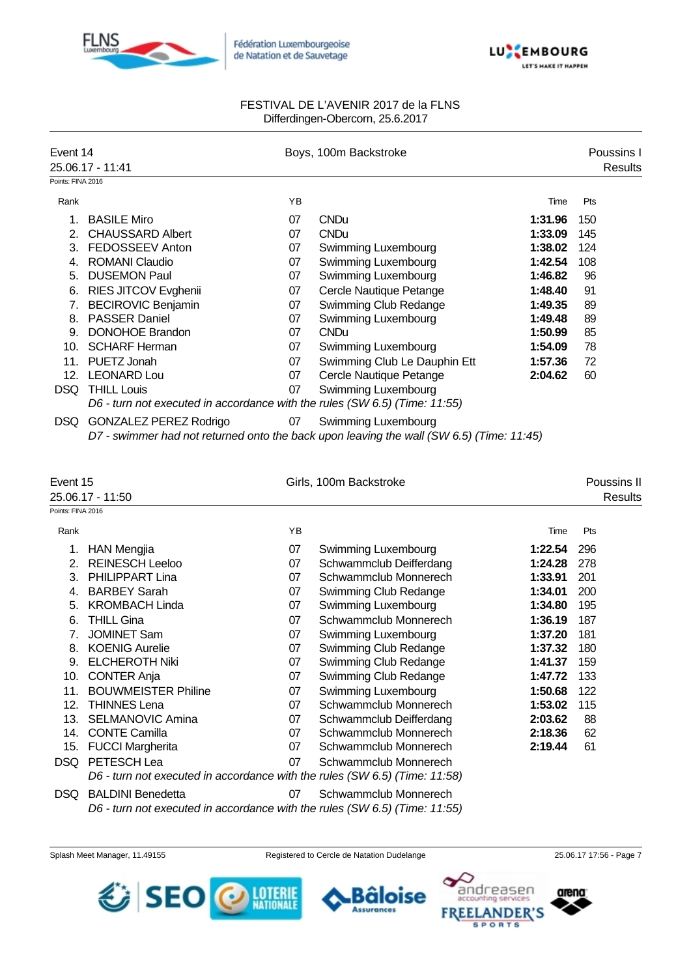



| Event 14          | 25.06.17 - 11:41                                                                          |          | Boys, 100m Backstroke                                                                                           |                    | Poussins I<br><b>Results</b> |
|-------------------|-------------------------------------------------------------------------------------------|----------|-----------------------------------------------------------------------------------------------------------------|--------------------|------------------------------|
| Points: FINA 2016 |                                                                                           |          |                                                                                                                 |                    |                              |
| Rank              |                                                                                           | ΥB       |                                                                                                                 | Time               | Pts                          |
| 1.                | <b>BASILE Miro</b>                                                                        | 07       | <b>CNDu</b>                                                                                                     | 1:31.96            | 150                          |
| 2.                | <b>CHAUSSARD Albert</b>                                                                   | 07       | <b>CNDu</b>                                                                                                     | 1:33.09            | 145                          |
| 3.                | FEDOSSEEV Anton                                                                           | 07       | Swimming Luxembourg                                                                                             | 1:38.02            | 124                          |
| 4.                | <b>ROMANI Claudio</b>                                                                     | 07       | Swimming Luxembourg                                                                                             | 1:42.54            | 108                          |
| 5.                | <b>DUSEMON Paul</b>                                                                       | 07       | Swimming Luxembourg                                                                                             | 1:46.82            | 96                           |
| 6.                | RIES JITCOV Evghenii                                                                      | 07       | Cercle Nautique Petange                                                                                         | 1:48.40            | 91                           |
| 7.                | <b>BECIROVIC Benjamin</b>                                                                 | 07       | Swimming Club Redange                                                                                           | 1:49.35            | 89                           |
| 8.                | <b>PASSER Daniel</b>                                                                      | 07       | Swimming Luxembourg                                                                                             | 1:49.48            | 89                           |
| 9.                | <b>DONOHOE Brandon</b>                                                                    | 07       | <b>CNDu</b>                                                                                                     | 1:50.99            | 85                           |
|                   | 10. SCHARF Herman                                                                         | 07       | Swimming Luxembourg                                                                                             | 1:54.09            | 78                           |
|                   | 11. PUETZ Jonah                                                                           | 07       | Swimming Club Le Dauphin Ett                                                                                    | 1:57.36            | 72                           |
|                   | 12. LEONARD Lou                                                                           | 07       | Cercle Nautique Petange                                                                                         | 2:04.62            | 60                           |
|                   | DSQ THILL Louis                                                                           | 07       | Swimming Luxembourg                                                                                             |                    |                              |
|                   | D6 - turn not executed in accordance with the rules (SW 6.5) (Time: 11:55)                |          |                                                                                                                 |                    |                              |
|                   | DSQ GONZALEZ PEREZ Rodrigo                                                                | 07       | Swimming Luxembourg<br>D7 - swimmer had not returned onto the back upon leaving the wall (SW 6.5) (Time: 11:45) |                    |                              |
|                   |                                                                                           |          |                                                                                                                 |                    |                              |
| Event 15          |                                                                                           |          | Girls, 100m Backstroke                                                                                          |                    | Poussins II                  |
|                   | 25.06.17 - 11:50                                                                          |          |                                                                                                                 |                    | Results                      |
| Points: FINA 2016 |                                                                                           |          |                                                                                                                 |                    |                              |
| Rank              |                                                                                           | YB       |                                                                                                                 | Time               | Pts                          |
|                   |                                                                                           |          |                                                                                                                 |                    |                              |
| 1.                | HAN Mengjia                                                                               | 07       | Swimming Luxembourg                                                                                             | 1:22.54            | 296                          |
| 2.<br>3.          | <b>REINESCH Leeloo</b>                                                                    | 07<br>07 | Schwammclub Deifferdang<br>Schwammclub Monnerech                                                                | 1:24.28            | 278                          |
| 4.                | PHILIPPART Lina<br><b>BARBEY Sarah</b>                                                    | 07       |                                                                                                                 | 1:33.91<br>1:34.01 | 201<br>200                   |
| 5.                | <b>KROMBACH Linda</b>                                                                     | 07       | Swimming Club Redange                                                                                           | 1:34.80            | 195                          |
| 6.                | <b>THILL Gina</b>                                                                         | 07       | Swimming Luxembourg<br>Schwammclub Monnerech                                                                    |                    |                              |
| 7.                | <b>JOMINET Sam</b>                                                                        |          |                                                                                                                 | 1:36.19            | 187                          |
| 8.                | <b>KOENIG Aurelie</b>                                                                     | 07<br>07 | Swimming Luxembourg                                                                                             | 1:37.20<br>1:37.32 | 181<br>180                   |
|                   | 9. ELCHEROTH Niki                                                                         | 07       | Swimming Club Redange                                                                                           | 1:41.37            | 159                          |
| 10.               |                                                                                           | 07       | Swimming Club Redange                                                                                           | 1:47.72            | 133                          |
|                   | <b>CONTER Anja</b>                                                                        |          | Swimming Club Redange                                                                                           |                    |                              |
| 11.               | <b>BOUWMEISTER Philine</b>                                                                | 07       | Swimming Luxembourg                                                                                             | 1:50.68            | 122                          |
| 12.               | <b>THINNES Lena</b>                                                                       | 07       | Schwammclub Monnerech                                                                                           | 1:53.02            | 115                          |
| 13.               | <b>SELMANOVIC Amina</b>                                                                   | 07       | Schwammclub Deifferdang                                                                                         | 2:03.62            | 88                           |
|                   | 14. CONTE Camilla                                                                         | 07       | Schwammclub Monnerech                                                                                           | 2:18.36            | 62                           |
| 15.               | <b>FUCCI Margherita</b>                                                                   | 07       | Schwammclub Monnerech                                                                                           | 2:19.44            | 61                           |
| DSQ               | PETESCH Lea<br>D6 - turn not executed in accordance with the rules (SW 6.5) (Time: 11:58) | 07       | Schwammclub Monnerech                                                                                           |                    |                              |

*D6 - turn not executed in accordance with the rules (SW 6.5) (Time: 11:55)*

Splash Meet Manager, 11.49155 Registered to Cercle de Natation Dudelange 25.06.17 17:56 - Page 7





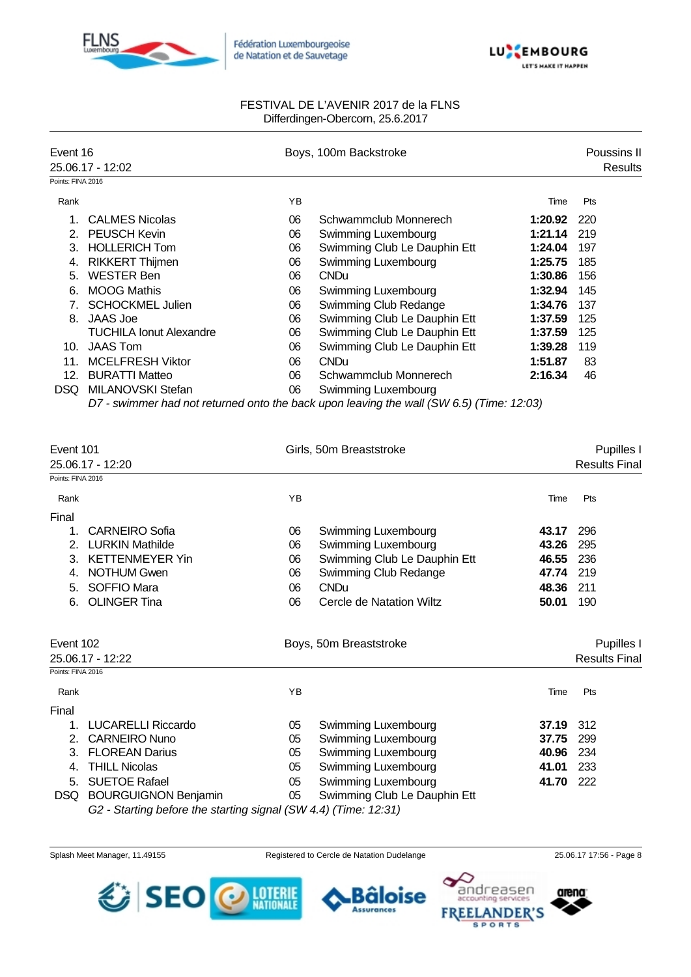



| Event 16          |                                |    | Boys, 100m Backstroke        |         | Poussins II    |
|-------------------|--------------------------------|----|------------------------------|---------|----------------|
|                   | 25.06.17 - 12:02               |    |                              |         | <b>Results</b> |
| Points: FINA 2016 |                                |    |                              |         |                |
| Rank              |                                | YB |                              | Time    | Pts            |
|                   | <b>CALMES Nicolas</b>          | 06 | Schwammclub Monnerech        | 1:20.92 | 220            |
| 2.                | <b>PEUSCH Kevin</b>            | 06 | Swimming Luxembourg          | 1:21.14 | 219            |
| 3.                | <b>HOLLERICH Tom</b>           | 06 | Swimming Club Le Dauphin Ett | 1:24.04 | 197            |
| 4.                | <b>RIKKERT Thijmen</b>         | 06 | Swimming Luxembourg          | 1:25.75 | 185            |
| 5.                | <b>WESTER Ben</b>              | 06 | <b>CNDu</b>                  | 1:30.86 | 156            |
| 6.                | <b>MOOG Mathis</b>             | 06 | Swimming Luxembourg          | 1:32.94 | 145            |
|                   | <b>SCHOCKMEL Julien</b>        | 06 | Swimming Club Redange        | 1:34.76 | 137            |
| 8.                | JAAS Joe                       | 06 | Swimming Club Le Dauphin Ett | 1:37.59 | 125            |
|                   | <b>TUCHILA Ionut Alexandre</b> | 06 | Swimming Club Le Dauphin Ett | 1:37.59 | 125            |
| 10.               | <b>JAAS Tom</b>                | 06 | Swimming Club Le Dauphin Ett | 1:39.28 | 119            |
| 11.               | <b>MCELFRESH Viktor</b>        | 06 | <b>CNDu</b>                  | 1:51.87 | 83             |
| 12.               | <b>BURATTI Matteo</b>          | 06 | Schwammclub Monnerech        | 2:16.34 | 46             |
| DSQ.              | MILANOVSKI Stefan              | 06 | Swimming Luxembourg          |         |                |

*D7 - swimmer had not returned onto the back upon leaving the wall (SW 6.5) (Time: 12:03)*

| Event 101         |                                                                 |    | Girls, 50m Breaststroke      |       | Pupilles I           |
|-------------------|-----------------------------------------------------------------|----|------------------------------|-------|----------------------|
|                   | 25.06.17 - 12:20                                                |    |                              |       | <b>Results Final</b> |
| Points: FINA 2016 |                                                                 |    |                              |       |                      |
| Rank              |                                                                 | YB |                              | Time  | Pts                  |
| Final             |                                                                 |    |                              |       |                      |
| 1.                | <b>CARNEIRO Sofia</b>                                           | 06 | Swimming Luxembourg          | 43.17 | 296                  |
| 2.                | <b>LURKIN Mathilde</b>                                          | 06 | Swimming Luxembourg          | 43.26 | 295                  |
| 3.                | <b>KETTENMEYER Yin</b>                                          | 06 | Swimming Club Le Dauphin Ett | 46.55 | 236                  |
| 4.                | <b>NOTHUM Gwen</b>                                              | 06 | Swimming Club Redange        | 47.74 | 219                  |
| 5.                | SOFFIO Mara                                                     | 06 | <b>CNDu</b>                  | 48.36 | 211                  |
| 6.                | <b>OLINGER Tina</b>                                             | 06 | Cercle de Natation Wiltz     | 50.01 | 190                  |
| Event 102         |                                                                 |    | Boys, 50m Breaststroke       |       | Pupilles I           |
|                   | 25.06.17 - 12:22                                                |    |                              |       | <b>Results Final</b> |
| Points: FINA 2016 |                                                                 |    |                              |       |                      |
| Rank              |                                                                 | YB |                              | Time  | Pts                  |
| Final             |                                                                 |    |                              |       |                      |
|                   | <b>LUCARELLI Riccardo</b>                                       | 05 | Swimming Luxembourg          | 37.19 | 312                  |
| 2.                | <b>CARNEIRO Nuno</b>                                            | 05 | Swimming Luxembourg          | 37.75 | 299                  |
| 3.                | <b>FLOREAN Darius</b>                                           | 05 | Swimming Luxembourg          | 40.96 | 234                  |
| 4.                | <b>THILL Nicolas</b>                                            | 05 | Swimming Luxembourg          | 41.01 | 233                  |
| 5.                | <b>SUETOE Rafael</b>                                            | 05 | Swimming Luxembourg          | 41.70 | 222                  |
| DSQ.              | <b>BOURGUIGNON Benjamin</b>                                     | 05 | Swimming Club Le Dauphin Ett |       |                      |
|                   | G2 - Starting before the starting signal (SW 4.4) (Time: 12:31) |    |                              |       |                      |

Splash Meet Manager, 11.49155 Registered to Cercle de Natation Dudelange 25.06.17 17:56 - Page 8

**Bäloise Assurances** 

arena

ngaaanhos

**SPORTS** 

**FREEI** 

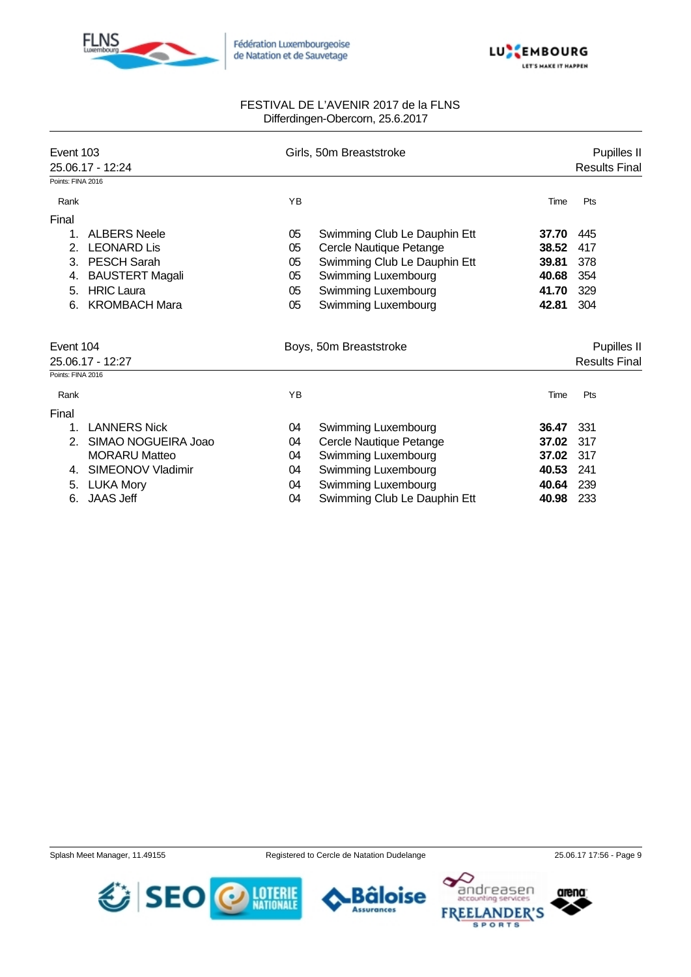



| Event 103<br>25.06.17 - 12:24<br>Points: FINA 2016 |    | Girls, 50m Breaststroke      |       | Pupilles II<br><b>Results Final</b> |
|----------------------------------------------------|----|------------------------------|-------|-------------------------------------|
|                                                    |    |                              |       |                                     |
| Rank                                               | YB |                              | Time  | Pts                                 |
| Final                                              |    |                              |       |                                     |
| <b>ALBERS Neele</b><br>1.                          | 05 | Swimming Club Le Dauphin Ett | 37.70 | 445                                 |
| <b>LEONARD Lis</b><br>2.                           | 05 | Cercle Nautique Petange      | 38.52 | 417                                 |
| <b>PESCH Sarah</b><br>3.                           | 05 | Swimming Club Le Dauphin Ett | 39.81 | 378                                 |
| <b>BAUSTERT Magali</b><br>4.                       | 05 | Swimming Luxembourg          | 40.68 | 354                                 |
| <b>HRIC Laura</b><br>5.                            | 05 | Swimming Luxembourg          | 41.70 | 329                                 |
| <b>KROMBACH Mara</b><br>6.                         | 05 | Swimming Luxembourg          | 42.81 | 304                                 |
| Event 104                                          |    | Boys, 50m Breaststroke       |       | Pupilles II                         |
| 25.06.17 - 12:27                                   |    |                              |       | <b>Results Final</b>                |
| Points: FINA 2016                                  |    |                              |       |                                     |
| Rank                                               | YB |                              | Time  | Pts                                 |
| Final                                              |    |                              |       |                                     |
| <b>LANNERS Nick</b><br>1.                          | 04 | Swimming Luxembourg          | 36.47 | 331                                 |
| SIMAO NOGUEIRA Joao<br>2.                          | 04 | Cercle Nautique Petange      | 37.02 | 317                                 |
| <b>MORARU Matteo</b>                               | 04 | Swimming Luxembourg          | 37.02 | 317                                 |
| SIMEONOV Vladimir<br>4.                            | 04 | <b>Swimming Luxembourg</b>   | 40.53 | 241                                 |
| <b>LUKA Mory</b><br>5.                             | 04 | Swimming Luxembourg          | 40.64 | 239                                 |
| <b>JAAS Jeff</b><br>6.                             | 04 | Swimming Club Le Dauphin Ett | 40.98 | 233                                 |

Splash Meet Manager, 11.49155 Registered to Cercle de Natation Dudelange 25.06.17 17:56 - Page 9





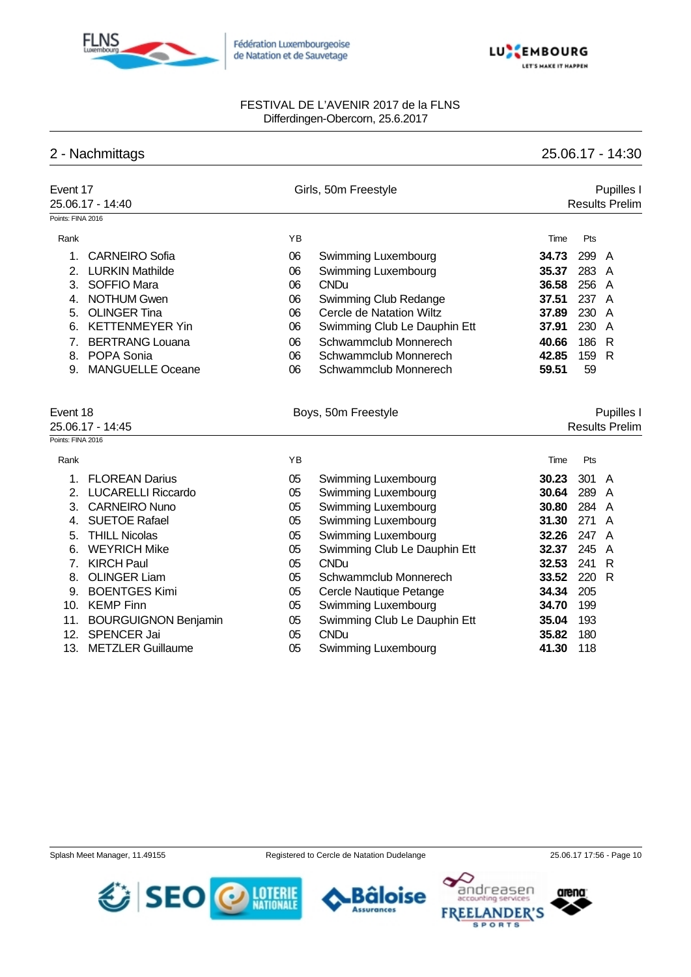



# 2 - Nachmittags 25.06.17 - 14:30

| Event 17                  | 25.06.17 - 14:40                            |          | Girls, 50m Freestyle                        |                | Pupilles I<br><b>Results Prelim</b>        |
|---------------------------|---------------------------------------------|----------|---------------------------------------------|----------------|--------------------------------------------|
| Points: FINA 2016         |                                             |          |                                             |                |                                            |
| Rank                      |                                             | YB       |                                             | Time           | Pts                                        |
| 1.                        | <b>CARNEIRO Sofia</b>                       | 06       | Swimming Luxembourg                         | 34.73          | 299<br>$\overline{A}$                      |
| 2.                        | <b>LURKIN Mathilde</b>                      | 06       | Swimming Luxembourg                         | 35.37          | 283<br>A                                   |
| 3.                        | <b>SOFFIO Mara</b>                          | 06       | <b>CNDu</b>                                 | 36.58          | 256<br>A                                   |
| 4.                        | <b>NOTHUM Gwen</b>                          | 06       | Swimming Club Redange                       | 37.51          | 237 A                                      |
| 5.                        | <b>OLINGER Tina</b>                         | 06       | Cercle de Natation Wiltz                    | 37.89          | 230<br>$\overline{A}$                      |
| 6.                        | <b>KETTENMEYER Yin</b>                      | 06       | Swimming Club Le Dauphin Ett                | 37.91          | 230<br>A                                   |
| 7.                        | <b>BERTRANG Louana</b>                      | 06       | Schwammclub Monnerech                       | 40.66          | 186<br>R                                   |
| 8.                        | POPA Sonia                                  | 06       | Schwammclub Monnerech                       | 42.85          | $\mathsf{R}$<br>159                        |
| 9.                        | <b>MANGUELLE Oceane</b>                     | 06       | Schwammclub Monnerech                       | 59.51          | 59                                         |
| Points: FINA 2016<br>Rank | 25.06.17 - 14:45                            | ΥB       | Boys, 50m Freestyle                         | Time           | Pupilles I<br><b>Results Prelim</b><br>Pts |
|                           |                                             |          |                                             |                |                                            |
| 1.                        | <b>FLOREAN Darius</b>                       | 05       | Swimming Luxembourg                         | 30.23          | 301<br>A                                   |
| 2.                        | <b>LUCARELLI Riccardo</b>                   | 05       | Swimming Luxembourg                         | 30.64          | 289<br>$\overline{A}$                      |
| 3.                        | <b>CARNEIRO Nuno</b>                        | 05       | Swimming Luxembourg                         | 30.80          | 284<br>A                                   |
| 4.                        | <b>SUETOE Rafael</b>                        | 05       | Swimming Luxembourg                         | 31.30          | 271<br>A                                   |
| 5.                        | <b>THILL Nicolas</b>                        | 05       | Swimming Luxembourg                         | 32.26          | 247<br>$\overline{A}$                      |
| 6.                        | <b>WEYRICH Mike</b>                         | 05       | Swimming Club Le Dauphin Ett                | 32.37          | 245<br>A                                   |
| 7 <sub>1</sub>            | <b>KIRCH Paul</b>                           | 05       | <b>CNDu</b>                                 | 32.53          | 241<br>R                                   |
| 8.<br>9.                  | <b>OLINGER Liam</b><br><b>BOENTGES Kimi</b> | 05       | Schwammclub Monnerech                       | 33.52<br>34.34 | 220<br>R<br>205                            |
|                           | 10. KEMP Finn                               | 05       | Cercle Nautique Petange                     | 34.70          | 199                                        |
|                           |                                             | 05       | Swimming Luxembourg                         |                |                                            |
| 11.<br>12.                | <b>BOURGUIGNON Benjamin</b><br>SPENCER Jai  | 05       | Swimming Club Le Dauphin Ett<br><b>CNDu</b> | 35.04          | 193                                        |
| 13.                       | <b>METZLER Guillaume</b>                    | 05<br>05 |                                             | 35.82<br>41.30 | 180<br>118                                 |
|                           |                                             |          | Swimming Luxembourg                         |                |                                            |







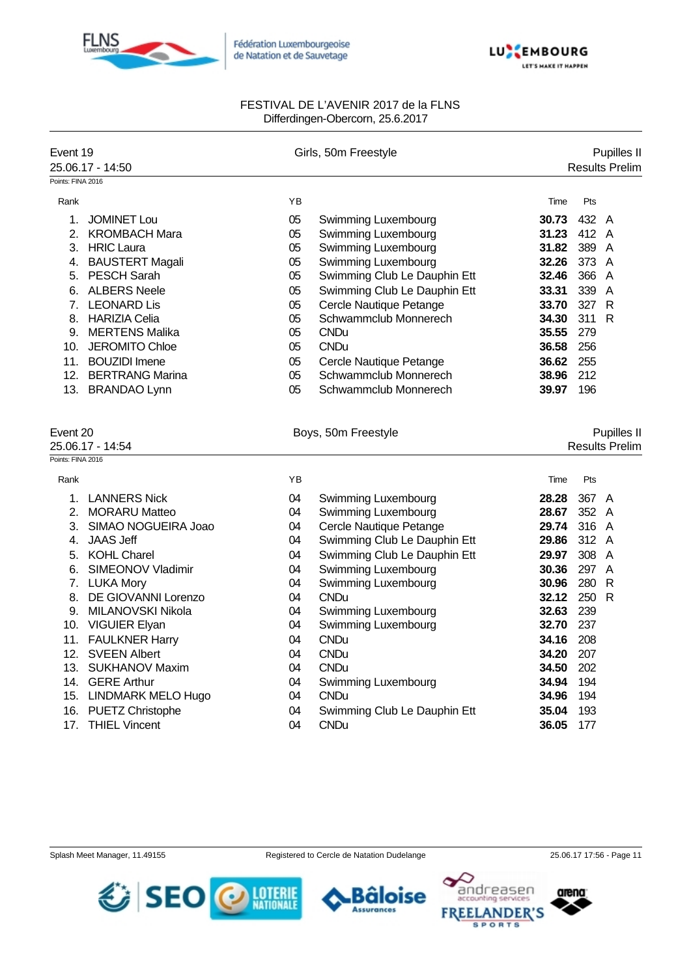



| Event 19                     | 25.06.17 - 14:50       |    | Girls, 50m Freestyle         |       | Pupilles II<br><b>Results Prelim</b> |
|------------------------------|------------------------|----|------------------------------|-------|--------------------------------------|
| Points: FINA 2016            |                        |    |                              |       |                                      |
| Rank                         |                        | YB |                              | Time  | Pts                                  |
| 1.                           | <b>JOMINET Lou</b>     | 05 | Swimming Luxembourg          | 30.73 | 432 A                                |
| 2.                           | <b>KROMBACH Mara</b>   | 05 | Swimming Luxembourg          | 31.23 | 412 A                                |
| 3.                           | <b>HRIC Laura</b>      | 05 | Swimming Luxembourg          | 31.82 | 389 A                                |
| 4.                           | <b>BAUSTERT Magali</b> | 05 | Swimming Luxembourg          | 32.26 | 373 A                                |
| 5.                           | <b>PESCH Sarah</b>     | 05 | Swimming Club Le Dauphin Ett | 32.46 | 366<br>A                             |
| 6.                           | <b>ALBERS Neele</b>    | 05 | Swimming Club Le Dauphin Ett | 33.31 | 339<br>A                             |
| 7.                           | <b>LEONARD Lis</b>     | 05 | Cercle Nautique Petange      | 33.70 | 327<br>$\mathsf{R}$                  |
| 8.                           | <b>HARIZIA Celia</b>   | 05 | Schwammclub Monnerech        | 34.30 | 311<br>R                             |
| 9.                           | <b>MERTENS Malika</b>  | 05 | <b>CNDu</b>                  | 35.55 | 279                                  |
|                              | 10. JEROMITO Chloe     | 05 | <b>CNDu</b>                  | 36.58 | 256                                  |
|                              | 11. BOUZIDI Imene      | 05 | Cercle Nautique Petange      | 36.62 | 255                                  |
|                              | 12. BERTRANG Marina    | 05 | Schwammclub Monnerech        | 38.96 | 212                                  |
|                              | 13. BRANDAO Lynn       | 05 | Schwammclub Monnerech        | 39.97 | 196                                  |
| Event 20<br>25.06.17 - 14:54 |                        |    | Boys, 50m Freestyle          |       | Pupilles II<br><b>Results Prelim</b> |
| Points: FINA 2016            |                        |    |                              |       |                                      |
| Rank                         |                        | YB |                              | Time  | Pts                                  |
| 1.                           | <b>LANNERS Nick</b>    | 04 | Swimming Luxembourg          | 28.28 | 367 A                                |
| 2.                           | <b>MORARU Matteo</b>   | 04 | Swimming Luxembourg          | 28.67 | 352 A                                |
| 3.                           | SIMAO NOGUEIRA Joao    | 04 | Cercle Nautique Petange      | 29.74 | 316 A                                |
| 4.                           | <b>JAAS Jeff</b>       | 04 | Swimming Club Le Dauphin Ett | 29.86 | 312 A                                |
| 5.                           | <b>KOHL Charel</b>     | 04 | Swimming Club Le Dauphin Ett | 29.97 | 308<br>$\overline{A}$                |
| 6.                           | SIMEONOV Vladimir      | 04 | Swimming Luxembourg          | 30.36 | 297<br>$\overline{A}$                |
|                              | 7. LUKA Mory           | 04 | Swimming Luxembourg          | 30.96 | 280<br>$\mathsf{R}$                  |
| 8.                           | DE GIOVANNI Lorenzo    | 04 | <b>CNDu</b>                  | 32.12 | 250<br>R                             |
| 9.                           | MILANOVSKI Nikola      | 04 | Swimming Luxembourg          | 32.63 | 239                                  |
|                              | 10. VIGUIER Elyan      | 04 | Swimming Luxembourg          | 32.70 | 237                                  |
|                              | 11. FAULKNER Harry     | 04 | <b>CNDu</b>                  | 34.16 | 208                                  |
| 12.                          | <b>SVEEN Albert</b>    | 04 | <b>CNDu</b>                  | 34.20 | 207                                  |
|                              | 13. SUKHANOV Maxim     | 04 | <b>CNDu</b>                  | 34.50 | 202                                  |
|                              | 14. GERE Arthur        | 04 | Swimming Luxembourg          | 34.94 | 194                                  |
|                              | 15. LINDMARK MELO Hugo | 04 | <b>CNDu</b>                  | 34.96 | 194                                  |
|                              | 16. PUETZ Christophe   | 04 | Swimming Club Le Dauphin Ett | 35.04 | 193                                  |
|                              | 17. THIEL Vincent      | 04 | <b>CNDu</b>                  | 36.05 | 177                                  |
|                              |                        |    |                              |       |                                      |







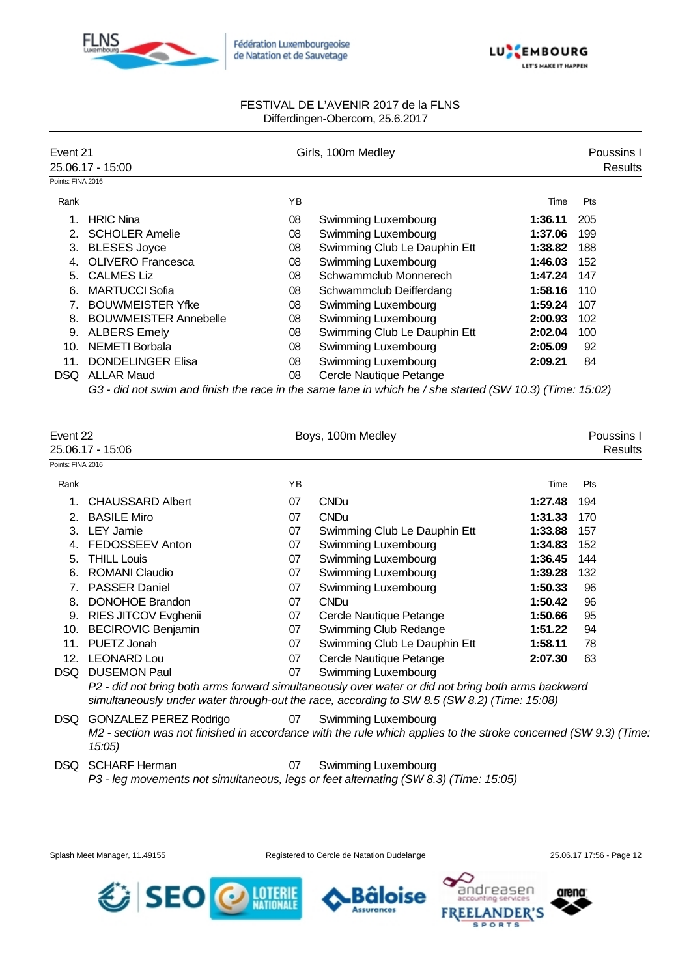



| Event 21          |                              |    | Girls, 100m Medley                                                                                       |         | Poussins I |  |
|-------------------|------------------------------|----|----------------------------------------------------------------------------------------------------------|---------|------------|--|
|                   | 25.06.17 - 15:00             |    |                                                                                                          |         | Results    |  |
| Points: FINA 2016 |                              |    |                                                                                                          |         |            |  |
| Rank              |                              | ΥB |                                                                                                          | Time    | Pts        |  |
|                   | <b>HRIC Nina</b>             | 08 | Swimming Luxembourg                                                                                      | 1:36.11 | 205        |  |
|                   | <b>SCHOLER Amelie</b>        | 08 | Swimming Luxembourg                                                                                      | 1:37.06 | 199        |  |
| 3.                | <b>BLESES Joyce</b>          | 08 | Swimming Club Le Dauphin Ett                                                                             | 1:38.82 | 188        |  |
| 4.                | <b>OLIVERO</b> Francesca     | 08 | Swimming Luxembourg                                                                                      | 1:46.03 | 152        |  |
| 5.                | <b>CALMES Liz</b>            | 08 | Schwammclub Monnerech                                                                                    | 1:47.24 | 147        |  |
| 6.                | <b>MARTUCCI Sofia</b>        | 08 | Schwammclub Deifferdang                                                                                  | 1:58.16 | 110        |  |
| 7.                | <b>BOUWMEISTER Yfke</b>      | 08 | Swimming Luxembourg                                                                                      | 1:59.24 | 107        |  |
| 8.                | <b>BOUWMEISTER Annebelle</b> | 08 | Swimming Luxembourg                                                                                      | 2:00.93 | 102        |  |
| 9.                | <b>ALBERS Emely</b>          | 08 | Swimming Club Le Dauphin Ett                                                                             | 2:02.04 | 100        |  |
| 10.               | NEMETI Borbala               | 08 | Swimming Luxembourg                                                                                      | 2:05.09 | 92         |  |
| 11.               | <b>DONDELINGER Elisa</b>     | 08 | Swimming Luxembourg                                                                                      | 2:09.21 | 84         |  |
| DSQ.              | <b>ALLAR Maud</b>            | 08 | Cercle Nautique Petange                                                                                  |         |            |  |
|                   |                              |    | G3 - did not swim and finish the race in the same lane in which he / she started (SW 10.3) (Time: 15:02) |         |            |  |

| Event 22<br>25.06.17 - 15:06 |                                  |    | Boys, 100m Medley                                                                                                                                                                                 |         | Poussins I<br>Results |
|------------------------------|----------------------------------|----|---------------------------------------------------------------------------------------------------------------------------------------------------------------------------------------------------|---------|-----------------------|
| Points: FINA 2016            |                                  |    |                                                                                                                                                                                                   |         |                       |
| Rank                         |                                  | YB |                                                                                                                                                                                                   | Time    | <b>Pts</b>            |
| $1_{-}$                      | <b>CHAUSSARD Albert</b>          | 07 | <b>CNDu</b>                                                                                                                                                                                       | 1:27.48 | 194                   |
| 2.                           | <b>BASILE Miro</b>               | 07 | <b>CNDu</b>                                                                                                                                                                                       | 1:31.33 | 170                   |
| 3.                           | <b>LEY Jamie</b>                 | 07 | Swimming Club Le Dauphin Ett                                                                                                                                                                      | 1:33.88 | 157                   |
| 4.                           | FEDOSSEEV Anton                  | 07 | Swimming Luxembourg                                                                                                                                                                               | 1:34.83 | 152                   |
| 5.                           | <b>THILL Louis</b>               | 07 | <b>Swimming Luxembourg</b>                                                                                                                                                                        | 1:36.45 | 144                   |
| 6.                           | <b>ROMANI Claudio</b>            | 07 | Swimming Luxembourg                                                                                                                                                                               | 1:39.28 | 132                   |
| 7.                           | <b>PASSER Daniel</b>             | 07 | Swimming Luxembourg                                                                                                                                                                               | 1:50.33 | 96                    |
| 8.                           | <b>DONOHOE Brandon</b>           | 07 | <b>CNDu</b>                                                                                                                                                                                       | 1:50.42 | 96                    |
| 9.                           | RIES JITCOV Evghenii             | 07 | Cercle Nautique Petange                                                                                                                                                                           | 1:50.66 | 95                    |
| 10.                          | <b>BECIROVIC Benjamin</b>        | 07 | Swimming Club Redange                                                                                                                                                                             | 1:51.22 | 94                    |
| 11.                          | PUETZ Jonah                      | 07 | Swimming Club Le Dauphin Ett                                                                                                                                                                      | 1:58.11 | 78                    |
| 12.                          | <b>LEONARD Lou</b>               | 07 | Cercle Nautique Petange                                                                                                                                                                           | 2:07.30 | 63                    |
| DSQ                          | <b>DUSEMON Paul</b>              | 07 | Swimming Luxembourg                                                                                                                                                                               |         |                       |
|                              |                                  |    | P2 - did not bring both arms forward simultaneously over water or did not bring both arms backward<br>simultaneously under water through-out the race, according to SW 8.5 (SW 8.2) (Time: 15:08) |         |                       |
| DSQ.                         | GONZALEZ PEREZ Rodrigo<br>15:05) | 07 | <b>Swimming Luxembourg</b><br>M2 - section was not finished in accordance with the rule which applies to the stroke concerned (SW 9.3) (Time                                                      |         |                       |
| DSQ                          | <b>SCHARF Herman</b>             | 07 | Swimming Luxembourg                                                                                                                                                                               |         |                       |

*P3 - leg movements not simultaneous, legs or feet alternating (SW 8.3) (Time: 15:05)*

Splash Meet Manager, 11.49155 Registered to Cercle de Natation Dudelange 25.06.17 17:56 - Page 12

**Säloise** 

н

**Assurances** 

arena

ndreasen

**SPORTS** 

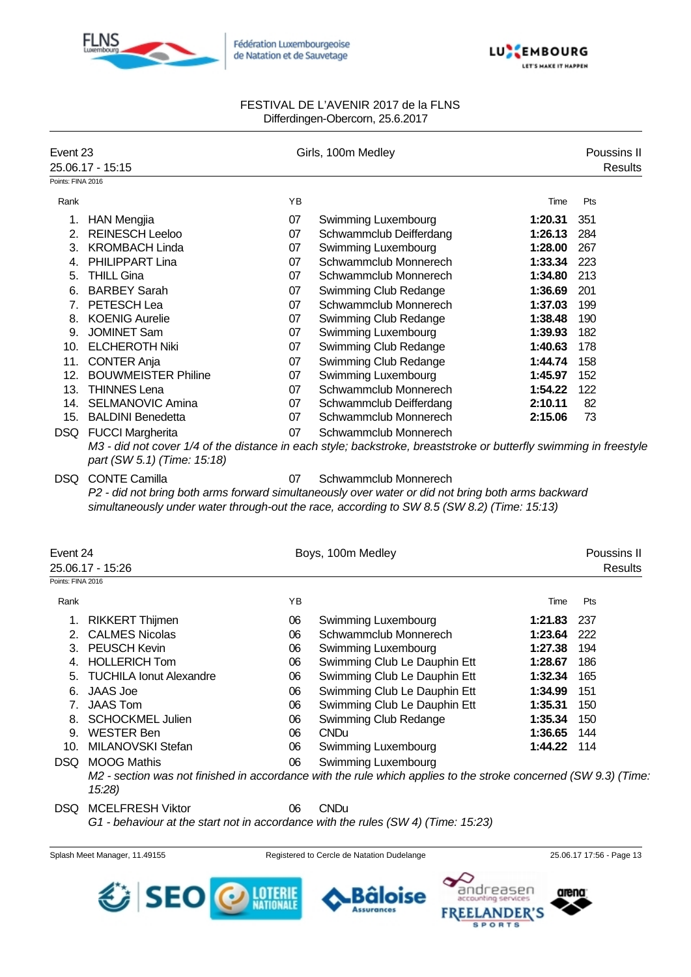



| Event 23          | 25.06.17 - 15:15            |    | Girls, 100m Medley                                                                                                                                                                                |         | Poussins II<br><b>Results</b> |
|-------------------|-----------------------------|----|---------------------------------------------------------------------------------------------------------------------------------------------------------------------------------------------------|---------|-------------------------------|
| Points: FINA 2016 |                             |    |                                                                                                                                                                                                   |         |                               |
| Rank              |                             | YB |                                                                                                                                                                                                   | Time    | Pts                           |
|                   | 1. HAN Mengjia              | 07 | Swimming Luxembourg                                                                                                                                                                               | 1:20.31 | 351                           |
| 2.                | <b>REINESCH Leeloo</b>      | 07 | Schwammclub Deifferdang                                                                                                                                                                           | 1:26.13 | 284                           |
| 3.                | <b>KROMBACH Linda</b>       | 07 | Swimming Luxembourg                                                                                                                                                                               | 1:28.00 | 267                           |
| 4.                | PHILIPPART Lina             | 07 | Schwammclub Monnerech                                                                                                                                                                             | 1:33.34 | 223                           |
| 5.                | <b>THILL Gina</b>           | 07 | Schwammclub Monnerech                                                                                                                                                                             | 1:34.80 | 213                           |
| 6.                | <b>BARBEY Sarah</b>         | 07 | Swimming Club Redange                                                                                                                                                                             | 1:36.69 | 201                           |
| $7_{\cdot}$       | PETESCH Lea                 | 07 | Schwammclub Monnerech                                                                                                                                                                             | 1:37.03 | 199                           |
| 8.                | <b>KOENIG Aurelie</b>       | 07 | Swimming Club Redange                                                                                                                                                                             | 1:38.48 | 190                           |
| 9.                | <b>JOMINET Sam</b>          | 07 | Swimming Luxembourg                                                                                                                                                                               | 1:39.93 | 182                           |
|                   | 10. ELCHEROTH Niki          | 07 | Swimming Club Redange                                                                                                                                                                             | 1:40.63 | 178                           |
| 11.               | <b>CONTER Anja</b>          | 07 | Swimming Club Redange                                                                                                                                                                             | 1:44.74 | 158                           |
|                   | 12. BOUWMEISTER Philine     | 07 | Swimming Luxembourg                                                                                                                                                                               | 1:45.97 | 152                           |
|                   | 13. THINNES Lena            | 07 | Schwammclub Monnerech                                                                                                                                                                             | 1:54.22 | 122                           |
|                   | 14. SELMANOVIC Amina        | 07 | Schwammclub Deifferdang                                                                                                                                                                           | 2:10.11 | 82                            |
|                   | 15. BALDINI Benedetta       | 07 | Schwammclub Monnerech                                                                                                                                                                             | 2:15.06 | 73                            |
|                   | DSQ FUCCI Margherita        | 07 | Schwammclub Monnerech                                                                                                                                                                             |         |                               |
|                   | part (SW 5.1) (Time: 15:18) |    | M3 - did not cover 1/4 of the distance in each style; backstroke, breaststroke or butterfly swimming in freestyle                                                                                 |         |                               |
| DSQ.              | <b>CONTE Camilla</b>        | 07 | Schwammclub Monnerech                                                                                                                                                                             |         |                               |
|                   |                             |    | P2 - did not bring both arms forward simultaneously over water or did not bring both arms backward<br>simultaneously under water through-out the race, according to SW 8.5 (SW 8.2) (Time: 15:13) |         |                               |
| Event 24          | 25.06.17 - 15:26            |    | Boys, 100m Medley                                                                                                                                                                                 |         | Poussins II<br>Results        |
| Points: FINA 2016 |                             |    |                                                                                                                                                                                                   |         |                               |
| Rank              |                             | YB |                                                                                                                                                                                                   | Time    | Pts                           |
| 1.                | <b>RIKKERT Thijmen</b>      | 06 | Swimming Luxembourg                                                                                                                                                                               | 1:21.83 | 237                           |

|     | I. NINNENT HIJHEIT         | vv | <b>OWINDING LUXERIOUS</b>                                                                                       | 1.41.03       | ، دے |
|-----|----------------------------|----|-----------------------------------------------------------------------------------------------------------------|---------------|------|
|     | 2. CALMES Nicolas          | 06 | Schwammclub Monnerech                                                                                           | 1:23.64 222   |      |
|     | 3. PEUSCH Kevin            | 06 | Swimming Luxembourg                                                                                             | 1:27.38       | 194  |
|     | 4. HOLLERICH Tom           | 06 | Swimming Club Le Dauphin Ett                                                                                    | 1:28.67       | 186  |
|     | 5. TUCHILA Ionut Alexandre | 06 | Swimming Club Le Dauphin Ett                                                                                    | 1:32.34       | 165  |
| 6.  | JAAS Joe                   | 06 | Swimming Club Le Dauphin Ett                                                                                    | 1:34.99       | 151  |
|     | JAAS Tom                   | 06 | Swimming Club Le Dauphin Ett                                                                                    | 1:35.31       | 150  |
|     | 8. SCHOCKMEL Julien        | 06 | Swimming Club Redange                                                                                           | 1:35.34       | 150  |
| 9.  | WESTER Ben                 | 06 | <b>CNDu</b>                                                                                                     | 1:36.65       | 144  |
| 10. | MILANOVSKI Stefan          | 06 | Swimming Luxembourg                                                                                             | $1:44.22$ 114 |      |
|     | DSQ MOOG Mathis            | 06 | Swimming Luxembourg                                                                                             |               |      |
|     |                            |    | M2 - section was not finished in accordance with the rule which applies to the stroke concerned (SW 9.3) (Time. |               |      |
|     | 15:28)                     |    |                                                                                                                 |               |      |

DSQ MCELFRESH Viktor 06 CNDu

*G1 - behaviour at the start not in accordance with the rules (SW 4) (Time: 15:23)*

Splash Meet Manager, 11.49155 **Registered to Cercle de Natation Dudelange** 25.06.17 17:56 - Page 13





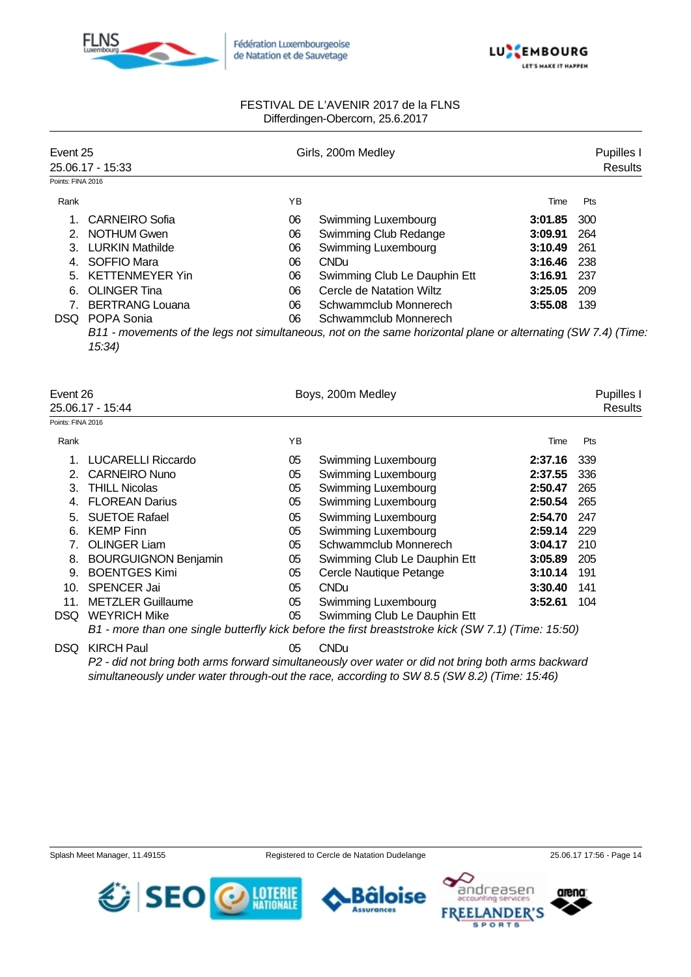



| Event 25          |                        |    | Girls, 200m Medley                                                                                            |         |                |  |  |
|-------------------|------------------------|----|---------------------------------------------------------------------------------------------------------------|---------|----------------|--|--|
|                   | 25.06.17 - 15:33       |    |                                                                                                               |         | <b>Results</b> |  |  |
| Points: FINA 2016 |                        |    |                                                                                                               |         |                |  |  |
| Rank              |                        | ΥB |                                                                                                               | Time    | Pts            |  |  |
|                   | CARNEIRO Sofia         | 06 | Swimming Luxembourg                                                                                           | 3:01.85 | 300            |  |  |
|                   | 2. NOTHUM Gwen         | 06 | Swimming Club Redange                                                                                         | 3:09.91 | 264            |  |  |
|                   | 3. LURKIN Mathilde     | 06 | Swimming Luxembourg                                                                                           | 3:10.49 | 261            |  |  |
|                   | SOFFIO Mara            | 06 | CND <sub>u</sub>                                                                                              | 3:16.46 | -238           |  |  |
|                   | 5. KETTENMEYER Yin     | 06 | Swimming Club Le Dauphin Ett                                                                                  | 3:16.91 | 237            |  |  |
| 6.                | <b>OLINGER Tina</b>    | 06 | Cercle de Natation Wiltz                                                                                      | 3:25.05 | 209            |  |  |
|                   | <b>BERTRANG Louana</b> | 06 | Schwammclub Monnerech                                                                                         | 3:55.08 | 139            |  |  |
| DSQ.              | POPA Sonia             | 06 | Schwammclub Monnerech                                                                                         |         |                |  |  |
|                   | 15:34)                 |    | B11 - movements of the legs not simultaneous, not on the same horizontal plane or alternating (SW 7.4) (Time: |         |                |  |  |

| Event 26<br>25.06.17 - 15:44 |                             |    | Boys, 200m Medley                                                                                  |         | Pupilles<br>Results |
|------------------------------|-----------------------------|----|----------------------------------------------------------------------------------------------------|---------|---------------------|
| Points: FINA 2016            |                             |    |                                                                                                    |         |                     |
| Rank                         |                             | YB |                                                                                                    | Time    | <b>Pts</b>          |
|                              | <b>LUCARELLI Riccardo</b>   | 05 | Swimming Luxembourg                                                                                | 2:37.16 | 339                 |
| 2.                           | <b>CARNEIRO Nuno</b>        | 05 | Swimming Luxembourg                                                                                | 2:37.55 | 336                 |
| 3.                           | <b>THILL Nicolas</b>        | 05 | Swimming Luxembourg                                                                                | 2:50.47 | 265                 |
| 4.                           | <b>FLOREAN Darius</b>       | 05 | Swimming Luxembourg                                                                                | 2:50.54 | 265                 |
| 5.                           | <b>SUETOE Rafael</b>        | 05 | Swimming Luxembourg                                                                                | 2:54.70 | 247                 |
| 6.                           | <b>KEMP Finn</b>            | 05 | Swimming Luxembourg                                                                                | 2:59.14 | 229                 |
|                              | <b>OLINGER Liam</b>         | 05 | Schwammclub Monnerech                                                                              | 3:04.17 | 210                 |
| 8.                           | <b>BOURGUIGNON Benjamin</b> | 05 | Swimming Club Le Dauphin Ett                                                                       | 3:05.89 | 205                 |
| 9.                           | <b>BOENTGES Kimi</b>        | 05 | Cercle Nautique Petange                                                                            | 3:10.14 | 191                 |
| 10.                          | <b>SPENCER Jai</b>          | 05 | <b>CNDu</b>                                                                                        | 3:30.40 | 141                 |
| 11.                          | <b>METZLER Guillaume</b>    | 05 | Swimming Luxembourg                                                                                | 3:52.61 | 104                 |
| DSQ.                         | <b>WEYRICH Mike</b>         | 05 | Swimming Club Le Dauphin Ett                                                                       |         |                     |
|                              |                             |    | B1 - more than one single butterfly kick before the first breaststroke kick (SW 7.1) (Time: 15:50) |         |                     |

DSQ KIRCH Paul 05 CNDu

*P2 - did not bring both arms forward simultaneously over water or did not bring both arms backward simultaneously under water through-out the race, according to SW 8.5 (SW 8.2) (Time: 15:46)*



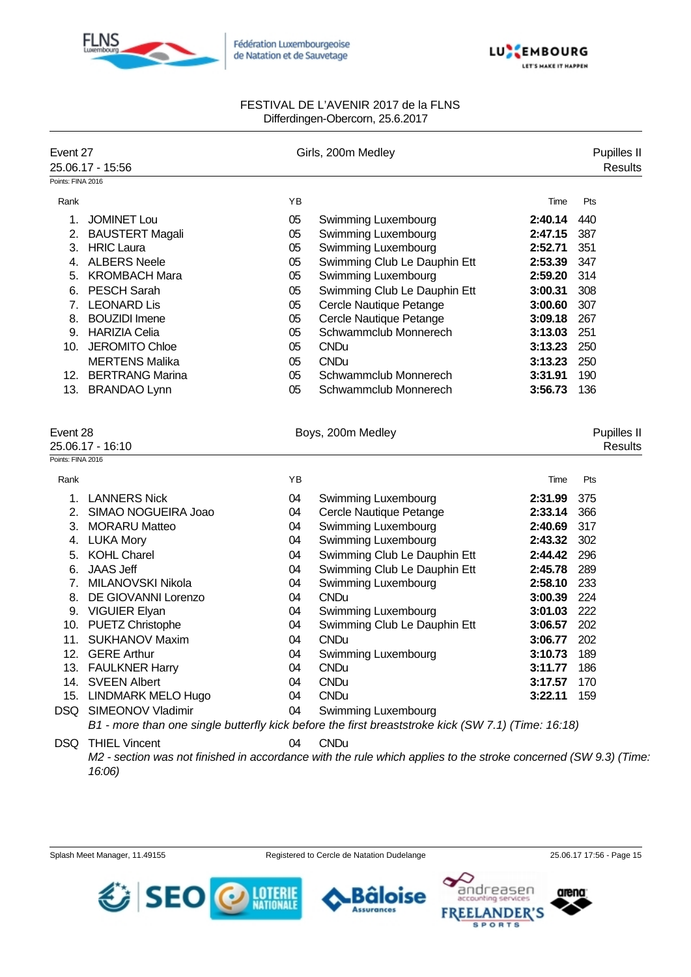



| Event 27                                          | 25.06.17 - 15:56       |    | Girls, 200m Medley                                                                                             |         | Pupilles II<br><b>Results</b> |
|---------------------------------------------------|------------------------|----|----------------------------------------------------------------------------------------------------------------|---------|-------------------------------|
| Points: FINA 2016                                 |                        |    |                                                                                                                |         |                               |
| Rank                                              |                        | YB |                                                                                                                | Time    | Pts                           |
| 1.                                                | <b>JOMINET Lou</b>     | 05 | Swimming Luxembourg                                                                                            | 2:40.14 | 440                           |
|                                                   | 2. BAUSTERT Magali     | 05 | Swimming Luxembourg                                                                                            | 2:47.15 | 387                           |
|                                                   | 3. HRIC Laura          | 05 | Swimming Luxembourg                                                                                            | 2:52.71 | 351                           |
|                                                   | 4. ALBERS Neele        | 05 | Swimming Club Le Dauphin Ett                                                                                   | 2:53.39 | 347                           |
|                                                   | 5. KROMBACH Mara       | 05 | Swimming Luxembourg                                                                                            | 2:59.20 | 314                           |
|                                                   | 6. PESCH Sarah         | 05 | Swimming Club Le Dauphin Ett                                                                                   | 3:00.31 | 308                           |
|                                                   | 7. LEONARD Lis         | 05 | Cercle Nautique Petange                                                                                        | 3:00.60 | 307                           |
|                                                   | 8. BOUZIDI Imene       | 05 | Cercle Nautique Petange                                                                                        | 3:09.18 | 267                           |
|                                                   | 9. HARIZIA Celia       | 05 | Schwammclub Monnerech                                                                                          | 3:13.03 | 251                           |
|                                                   | 10. JEROMITO Chloe     | 05 | <b>CNDu</b>                                                                                                    | 3:13.23 | 250                           |
|                                                   | <b>MERTENS Malika</b>  | 05 | <b>CNDu</b>                                                                                                    | 3:13.23 | 250                           |
|                                                   | 12. BERTRANG Marina    | 05 | Schwammclub Monnerech                                                                                          | 3:31.91 | 190                           |
|                                                   | 13. BRANDAO Lynn       | 05 | Schwammclub Monnerech                                                                                          | 3:56.73 | 136                           |
| Event 28<br>25.06.17 - 16:10<br>Points: FINA 2016 |                        |    | Boys, 200m Medley                                                                                              |         | Pupilles II<br><b>Results</b> |
| Rank                                              |                        | YB |                                                                                                                | Time    | Pts                           |
|                                                   | 1. LANNERS Nick        | 04 | Swimming Luxembourg                                                                                            | 2:31.99 | 375                           |
|                                                   | 2. SIMAO NOGUEIRA Joao | 04 | Cercle Nautique Petange                                                                                        | 2:33.14 | 366                           |
|                                                   | 3. MORARU Matteo       | 04 | Swimming Luxembourg                                                                                            | 2:40.69 | 317                           |
|                                                   | 4. LUKA Mory           | 04 | Swimming Luxembourg                                                                                            | 2:43.32 | 302                           |
| 5.                                                | <b>KOHL Charel</b>     | 04 | Swimming Club Le Dauphin Ett                                                                                   | 2:44.42 | 296                           |
| 6.                                                | <b>JAAS Jeff</b>       | 04 | Swimming Club Le Dauphin Ett                                                                                   | 2:45.78 | 289                           |
| 7.                                                | MILANOVSKI Nikola      | 04 | Swimming Luxembourg                                                                                            | 2:58.10 | 233                           |
| 8.                                                | DE GIOVANNI Lorenzo    | 04 | <b>CNDu</b>                                                                                                    | 3:00.39 | 224                           |
|                                                   | 9. VIGUIER Elyan       | 04 | Swimming Luxembourg                                                                                            | 3:01.03 | 222                           |
|                                                   | 10. PUETZ Christophe   | 04 | Swimming Club Le Dauphin Ett                                                                                   | 3:06.57 | 202                           |
| 11.                                               | <b>SUKHANOV Maxim</b>  | 04 | <b>CNDu</b>                                                                                                    | 3:06.77 | 202                           |
| 12.                                               | <b>GERE Arthur</b>     | 04 | Swimming Luxembourg                                                                                            | 3:10.73 | 189                           |
|                                                   | 13. FAULKNER Harry     | 04 | <b>CNDu</b>                                                                                                    | 3:11.77 | 186                           |
|                                                   | 14. SVEEN Albert       | 04 | <b>CNDu</b>                                                                                                    | 3:17.57 | 170                           |
|                                                   | 15. LINDMARK MELO Hugo | 04 | <b>CNDu</b>                                                                                                    | 3:22.11 | 159                           |
|                                                   | DSQ SIMEONOV Vladimir  | 04 | <b>Swimming Luxembourg</b>                                                                                     |         |                               |
|                                                   |                        |    | B1 - more than one single butterfly kick before the first breaststroke kick (SW 7.1) (Time: 16:18)             |         |                               |
| DSQ                                               | <b>THIEL Vincent</b>   | 04 | <b>CNDu</b>                                                                                                    |         |                               |
|                                                   | 16:06)                 |    | M2 - section was not finished in accordance with the rule which applies to the stroke concerned (SW 9.3) (Time |         |                               |

Splash Meet Manager, 11.49155 Registered to Cercle de Natation Dudelange 25.06.17 17:56 - Page 15

**Bäloise** 

**Assurances** 

arena

andreasen

**SPORTS** 

**FREEL** 

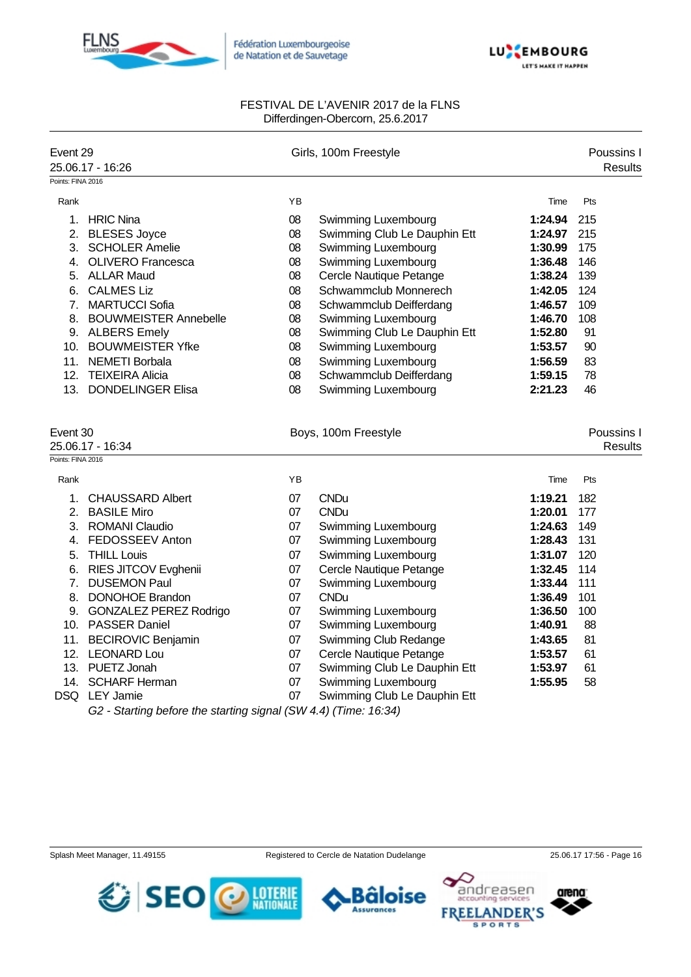



| Event 29<br>Points: FINA 2016                     | 25.06.17 - 16:26                                                                                                                                                                                                                                                                                                                           |                                                                                        | Girls, 100m Freestyle                                                                                                                                                                                                                                                                                                                                     |                                                                                                                                                        | Poussins I<br><b>Results</b>                                                              |
|---------------------------------------------------|--------------------------------------------------------------------------------------------------------------------------------------------------------------------------------------------------------------------------------------------------------------------------------------------------------------------------------------------|----------------------------------------------------------------------------------------|-----------------------------------------------------------------------------------------------------------------------------------------------------------------------------------------------------------------------------------------------------------------------------------------------------------------------------------------------------------|--------------------------------------------------------------------------------------------------------------------------------------------------------|-------------------------------------------------------------------------------------------|
| Rank                                              |                                                                                                                                                                                                                                                                                                                                            | YB                                                                                     |                                                                                                                                                                                                                                                                                                                                                           | Time                                                                                                                                                   | Pts                                                                                       |
| 6.<br>7.                                          | 1. HRIC Nina<br>2. BLESES Joyce<br>3. SCHOLER Amelie<br>4. OLIVERO Francesca<br>5. ALLAR Maud<br><b>CALMES Liz</b><br><b>MARTUCCI Sofia</b><br>8. BOUWMEISTER Annebelle<br>9. ALBERS Emely<br>10. BOUWMEISTER Yfke<br>11. NEMETI Borbala                                                                                                   | 08<br>08<br>08<br>08<br>08<br>08<br>08<br>08<br>08<br>08<br>08                         | Swimming Luxembourg<br>Swimming Club Le Dauphin Ett<br>Swimming Luxembourg<br>Swimming Luxembourg<br>Cercle Nautique Petange<br>Schwammclub Monnerech<br>Schwammclub Deifferdang<br><b>Swimming Luxembourg</b><br>Swimming Club Le Dauphin Ett<br>Swimming Luxembourg<br>Swimming Luxembourg                                                              | 1:24.94<br>1:24.97<br>1:30.99<br>1:36.48<br>1:38.24<br>1:42.05<br>1:46.57<br>1:46.70<br>1:52.80<br>1:53.57<br>1:56.59                                  | 215<br>215<br>175<br>146<br>139<br>124<br>109<br>108<br>91<br>90<br>83                    |
|                                                   | 12. TEIXEIRA Alicia<br>13. DONDELINGER Elisa                                                                                                                                                                                                                                                                                               | 08<br>08                                                                               | Schwammclub Deifferdang<br>Swimming Luxembourg                                                                                                                                                                                                                                                                                                            | 1:59.15<br>2:21.23                                                                                                                                     | 78<br>46                                                                                  |
| Event 30<br>25.06.17 - 16:34<br>Points: FINA 2016 |                                                                                                                                                                                                                                                                                                                                            |                                                                                        | Boys, 100m Freestyle                                                                                                                                                                                                                                                                                                                                      |                                                                                                                                                        | Poussins I<br><b>Results</b>                                                              |
| Rank                                              |                                                                                                                                                                                                                                                                                                                                            | YB                                                                                     |                                                                                                                                                                                                                                                                                                                                                           | Time                                                                                                                                                   | Pts                                                                                       |
| 1.<br>5.<br>7.                                    | <b>CHAUSSARD Albert</b><br>2. BASILE Miro<br>3. ROMANI Claudio<br>4. FEDOSSEEV Anton<br><b>THILL Louis</b><br>6. RIES JITCOV Evghenii<br><b>DUSEMON Paul</b><br>8. DONOHOE Brandon<br>9. GONZALEZ PEREZ Rodrigo<br>10. PASSER Daniel<br>11. BECIROVIC Benjamin<br>12. LEONARD Lou<br>13. PUETZ Jonah<br>14. SCHARF Herman<br>DSQ LEY Jamie | 07<br>07<br>07<br>07<br>07<br>07<br>07<br>07<br>07<br>07<br>07<br>07<br>07<br>07<br>07 | <b>CNDu</b><br><b>CNDu</b><br>Swimming Luxembourg<br>Swimming Luxembourg<br>Swimming Luxembourg<br>Cercle Nautique Petange<br>Swimming Luxembourg<br><b>CNDu</b><br>Swimming Luxembourg<br>Swimming Luxembourg<br>Swimming Club Redange<br>Cercle Nautique Petange<br>Swimming Club Le Dauphin Ett<br>Swimming Luxembourg<br>Swimming Club Le Dauphin Ett | 1:19.21<br>1:20.01<br>1:24.63<br>1:28.43<br>1:31.07<br>1:32.45<br>1:33.44<br>1:36.49<br>1:36.50<br>1:40.91<br>1:43.65<br>1:53.57<br>1:53.97<br>1:55.95 | 182<br>177<br>149<br>131<br>120<br>114<br>111<br>101<br>100<br>88<br>81<br>61<br>61<br>58 |
|                                                   | G2 - Starting before the starting signal (SW 4.4) (Time: 16:34)                                                                                                                                                                                                                                                                            |                                                                                        |                                                                                                                                                                                                                                                                                                                                                           |                                                                                                                                                        |                                                                                           |

Bâloise **Assurances** 

arena

andreasen

**FREELANDER'S SPORTS** 

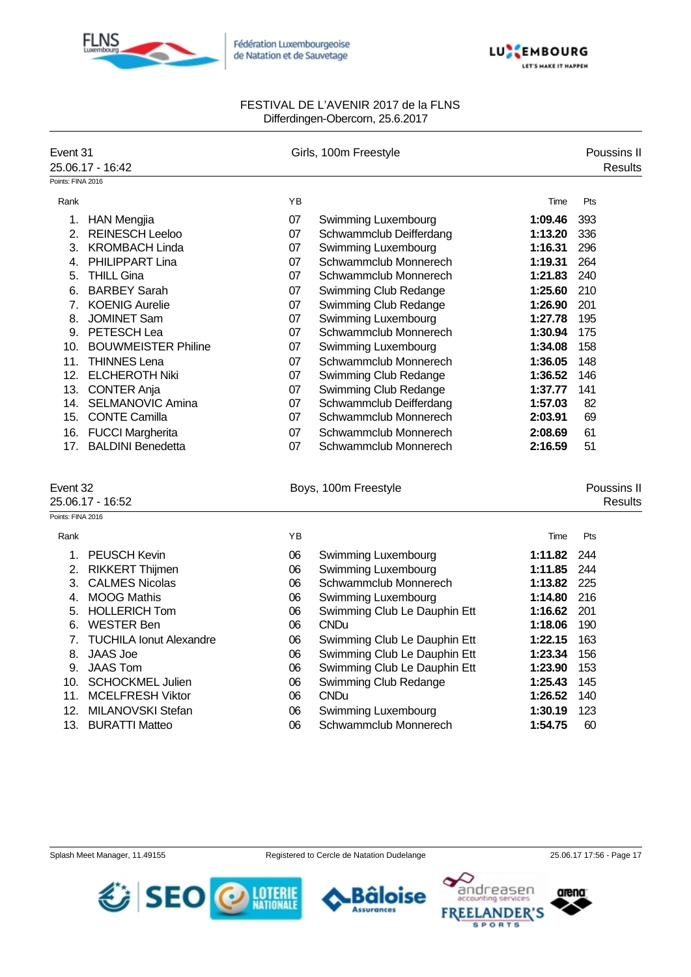



| Event 31<br>25.06.17 - 16:42<br>Points: FINA 2016 |                            |    | Girls, 100m Freestyle        |         |                        |
|---------------------------------------------------|----------------------------|----|------------------------------|---------|------------------------|
| Rank                                              |                            | YB |                              | Time    | Pts                    |
|                                                   | 1. HAN Mengjia             | 07 | Swimming Luxembourg          | 1:09.46 | 393                    |
|                                                   | 2. REINESCH Leeloo         | 07 | Schwammclub Deifferdang      | 1:13.20 | 336                    |
|                                                   | 3. KROMBACH Linda          | 07 | Swimming Luxembourg          | 1:16.31 | 296                    |
|                                                   | 4. PHILIPPART Lina         | 07 | Schwammclub Monnerech        | 1:19.31 | 264                    |
|                                                   | 5. THILL Gina              | 07 | Schwammclub Monnerech        | 1:21.83 | 240                    |
|                                                   | 6. BARBEY Sarah            | 07 | Swimming Club Redange        | 1:25.60 | 210                    |
|                                                   | 7. KOENIG Aurelie          | 07 | Swimming Club Redange        | 1:26.90 | 201                    |
|                                                   | 8. JOMINET Sam             | 07 | Swimming Luxembourg          | 1:27.78 | 195                    |
|                                                   | 9. PETESCH Lea             | 07 | Schwammclub Monnerech        | 1:30.94 | 175                    |
|                                                   | 10. BOUWMEISTER Philine    | 07 | <b>Swimming Luxembourg</b>   | 1:34.08 | 158                    |
|                                                   | 11. THINNES Lena           | 07 | Schwammclub Monnerech        | 1:36.05 | 148                    |
|                                                   | 12. ELCHEROTH Niki         | 07 | Swimming Club Redange        | 1:36.52 | 146                    |
|                                                   | 13. CONTER Anja            | 07 | Swimming Club Redange        | 1:37.77 | 141                    |
|                                                   | 14. SELMANOVIC Amina       | 07 | Schwammclub Deifferdang      | 1:57.03 | 82                     |
|                                                   | 15. CONTE Camilla          | 07 | Schwammclub Monnerech        | 2:03.91 | 69                     |
|                                                   | 16. FUCCI Margherita       | 07 | Schwammclub Monnerech        | 2:08.69 | 61                     |
|                                                   | 17. BALDINI Benedetta      | 07 | Schwammclub Monnerech        | 2:16.59 | 51                     |
| Event 32<br>25.06.17 - 16:52<br>Points: FINA 2016 |                            |    | Boys, 100m Freestyle         |         | Poussins II<br>Results |
| Rank                                              |                            | YB |                              | Time    | Pts                    |
|                                                   | 1. PEUSCH Kevin            | 06 | Swimming Luxembourg          | 1:11.82 | 244                    |
|                                                   | 2. RIKKERT Thijmen         | 06 | Swimming Luxembourg          | 1:11.85 | 244                    |
|                                                   | 3. CALMES Nicolas          | 06 | Schwammclub Monnerech        | 1:13.82 | 225                    |
|                                                   | 4. MOOG Mathis             | 06 | Swimming Luxembourg          | 1:14.80 | 216                    |
|                                                   | 5. HOLLERICH Tom           | 06 | Swimming Club Le Dauphin Ett | 1:16.62 | 201                    |
|                                                   | 6. WESTER Ben              | 06 | <b>CNDu</b>                  | 1:18.06 | 190                    |
|                                                   | 7. TUCHILA Ionut Alexandre | 06 | Swimming Club Le Dauphin Ett | 1:22.15 | 163                    |
|                                                   | 8. JAAS Joe                | 06 | Swimming Club Le Dauphin Ett | 1:23.34 | 156                    |
|                                                   | 9. JAAS Tom                | 06 | Swimming Club Le Dauphin Ett | 1:23.90 | 153                    |
|                                                   | 10. SCHOCKMEL Julien       | 06 | Swimming Club Redange        | 1:25.43 | 145                    |
|                                                   | 11. MCELFRESH Viktor       | 06 | <b>CNDu</b>                  | 1:26.52 | 140                    |
|                                                   | 12. MILANOVSKI Stefan      | 06 | <b>Swimming Luxembourg</b>   | 1:30.19 | 123                    |
|                                                   | 13. BURATTI Matteo         | 06 | Schwammclub Monnerech        | 1:54.75 | 60                     |





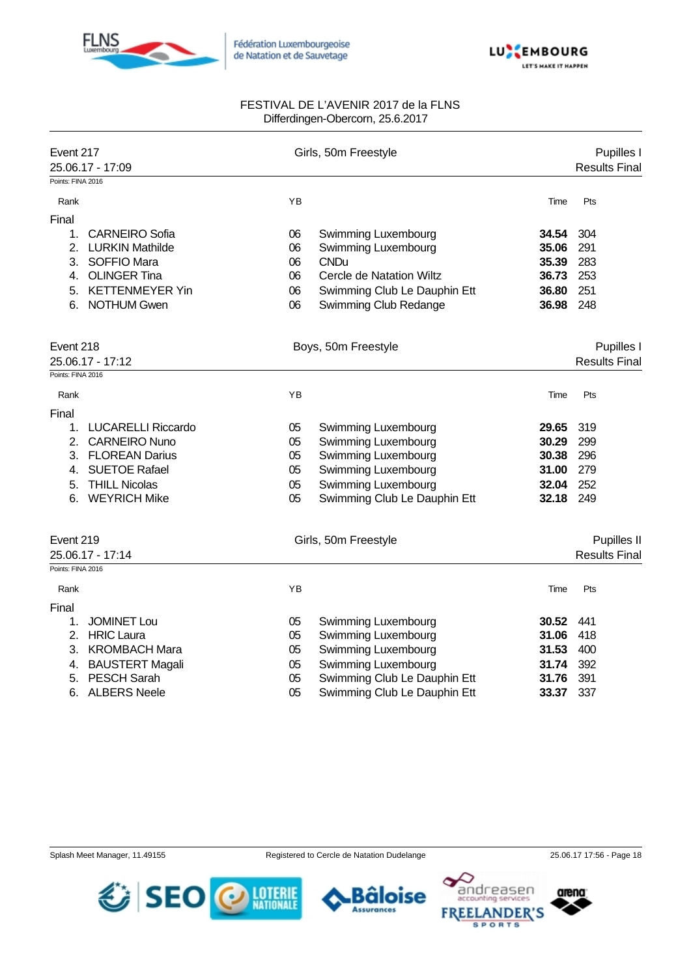



| Event 217         |                        | Girls, 50m Freestyle |                                    |            | Pupilles I           |  |  |
|-------------------|------------------------|----------------------|------------------------------------|------------|----------------------|--|--|
| Points: FINA 2016 | 25.06.17 - 17:09       |                      |                                    |            | <b>Results Final</b> |  |  |
| Rank              |                        | YB                   |                                    | Time       | Pts                  |  |  |
|                   |                        |                      |                                    |            |                      |  |  |
| Final             | <b>CARNEIRO Sofia</b>  | 06                   |                                    | 34.54      | 304                  |  |  |
| 1.                | 2. LURKIN Mathilde     | 06                   | Swimming Luxembourg                | 35.06      | 291                  |  |  |
|                   | 3. SOFFIO Mara         | 06                   | Swimming Luxembourg<br><b>CNDu</b> | 35.39      | 283                  |  |  |
| 4.                | <b>OLINGER Tina</b>    | 06                   | Cercle de Natation Wiltz           | 36.73      | 253                  |  |  |
|                   |                        |                      |                                    |            |                      |  |  |
| 5.                | <b>KETTENMEYER Yin</b> | 06                   | Swimming Club Le Dauphin Ett       | 36.80      | 251                  |  |  |
| 6.                | <b>NOTHUM Gwen</b>     | 06                   | Swimming Club Redange              | 36.98      | 248                  |  |  |
| Event 218         |                        | Boys, 50m Freestyle  |                                    | Pupilles I |                      |  |  |
|                   | 25.06.17 - 17:12       |                      |                                    |            | <b>Results Final</b> |  |  |
| Points: FINA 2016 |                        |                      |                                    |            |                      |  |  |
| Rank              |                        | YB                   |                                    | Time       | Pts                  |  |  |
| Final             |                        |                      |                                    |            |                      |  |  |
|                   | 1. LUCARELLI Riccardo  | 05                   | Swimming Luxembourg                | 29.65      | 319                  |  |  |
|                   | 2. CARNEIRO Nuno       | 05                   | Swimming Luxembourg                | 30.29      | 299                  |  |  |
|                   | 3. FLOREAN Darius      | 05                   | Swimming Luxembourg                | 30.38      | 296                  |  |  |
| 4.                | <b>SUETOE Rafael</b>   | 05                   | Swimming Luxembourg                | 31.00      | 279                  |  |  |
| 5.                | <b>THILL Nicolas</b>   | 05                   | Swimming Luxembourg                | 32.04      | 252                  |  |  |
| 6.                | <b>WEYRICH Mike</b>    | 05                   | Swimming Club Le Dauphin Ett       | 32.18      | 249                  |  |  |
| Event 219         |                        |                      | Girls, 50m Freestyle               |            | Pupilles II          |  |  |
| 25.06.17 - 17:14  |                        |                      |                                    |            | <b>Results Final</b> |  |  |
| Points: FINA 2016 |                        |                      |                                    |            |                      |  |  |
| Rank              |                        | YB                   |                                    | Time       | Pts                  |  |  |
| Final             |                        |                      |                                    |            |                      |  |  |
| 1.                | <b>JOMINET Lou</b>     | 05                   | Swimming Luxembourg                | 30.52      | 441                  |  |  |
|                   | 2. HRIC Laura          | 05                   | Swimming Luxembourg                | 31.06      | 418                  |  |  |
| 3.                | <b>KROMBACH Mara</b>   | 05                   | Swimming Luxembourg                | 31.53      | 400                  |  |  |
| 4.                | <b>BAUSTERT Magali</b> | 05                   | Swimming Luxembourg                | 31.74      | 392                  |  |  |
| 5.                | <b>PESCH Sarah</b>     | 05                   | Swimming Club Le Dauphin Ett       | 31.76      | 391                  |  |  |
| 6.                | <b>ALBERS Neele</b>    | 05                   | Swimming Club Le Dauphin Ett       | 33.37      | 337                  |  |  |
|                   |                        |                      |                                    |            |                      |  |  |

Splash Meet Manager, 11.49155 Registered to Cercle de Natation Dudelange 25.06.17 17:56 - Page 18